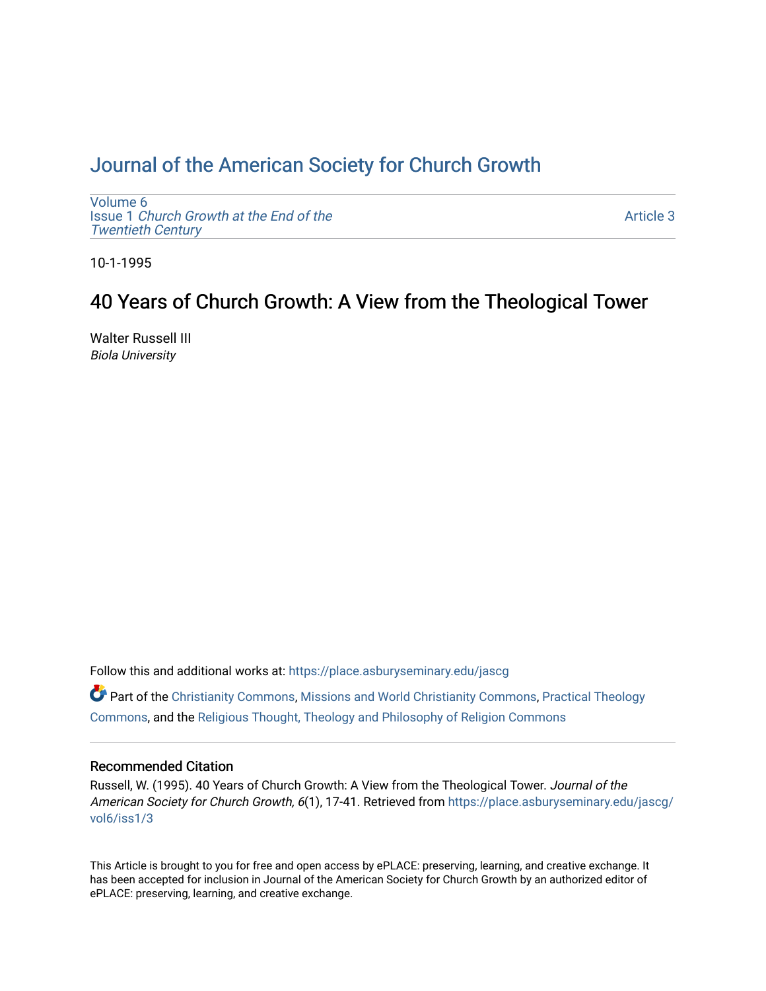## [Journal of the American Society for Church Growth](https://place.asburyseminary.edu/jascg)

[Volume 6](https://place.asburyseminary.edu/jascg/vol6) Issue 1 [Church Growth at the End of the](https://place.asburyseminary.edu/jascg/vol6/iss1) [Twentieth Century](https://place.asburyseminary.edu/jascg/vol6/iss1) 

[Article 3](https://place.asburyseminary.edu/jascg/vol6/iss1/3) 

10-1-1995

# 40 Years of Church Growth: A View from the Theological Tower

Walter Russell III Biola University

Follow this and additional works at: [https://place.asburyseminary.edu/jascg](https://place.asburyseminary.edu/jascg?utm_source=place.asburyseminary.edu%2Fjascg%2Fvol6%2Fiss1%2F3&utm_medium=PDF&utm_campaign=PDFCoverPages)

 $\bullet$  Part of the [Christianity Commons,](https://network.bepress.com/hgg/discipline/1181?utm_source=place.asburyseminary.edu%2Fjascg%2Fvol6%2Fiss1%2F3&utm_medium=PDF&utm_campaign=PDFCoverPages) [Missions and World Christianity Commons](https://network.bepress.com/hgg/discipline/1187?utm_source=place.asburyseminary.edu%2Fjascg%2Fvol6%2Fiss1%2F3&utm_medium=PDF&utm_campaign=PDFCoverPages), Practical Theology [Commons](https://network.bepress.com/hgg/discipline/1186?utm_source=place.asburyseminary.edu%2Fjascg%2Fvol6%2Fiss1%2F3&utm_medium=PDF&utm_campaign=PDFCoverPages), and the [Religious Thought, Theology and Philosophy of Religion Commons](https://network.bepress.com/hgg/discipline/544?utm_source=place.asburyseminary.edu%2Fjascg%2Fvol6%2Fiss1%2F3&utm_medium=PDF&utm_campaign=PDFCoverPages) 

## Recommended Citation

Russell, W. (1995). 40 Years of Church Growth: A View from the Theological Tower. Journal of the American Society for Church Growth, 6(1), 17-41. Retrieved from [https://place.asburyseminary.edu/jascg/](https://place.asburyseminary.edu/jascg/vol6/iss1/3?utm_source=place.asburyseminary.edu%2Fjascg%2Fvol6%2Fiss1%2F3&utm_medium=PDF&utm_campaign=PDFCoverPages) [vol6/iss1/3](https://place.asburyseminary.edu/jascg/vol6/iss1/3?utm_source=place.asburyseminary.edu%2Fjascg%2Fvol6%2Fiss1%2F3&utm_medium=PDF&utm_campaign=PDFCoverPages) 

This Article is brought to you for free and open access by ePLACE: preserving, learning, and creative exchange. It has been accepted for inclusion in Journal of the American Society for Church Growth by an authorized editor of ePLACE: preserving, learning, and creative exchange.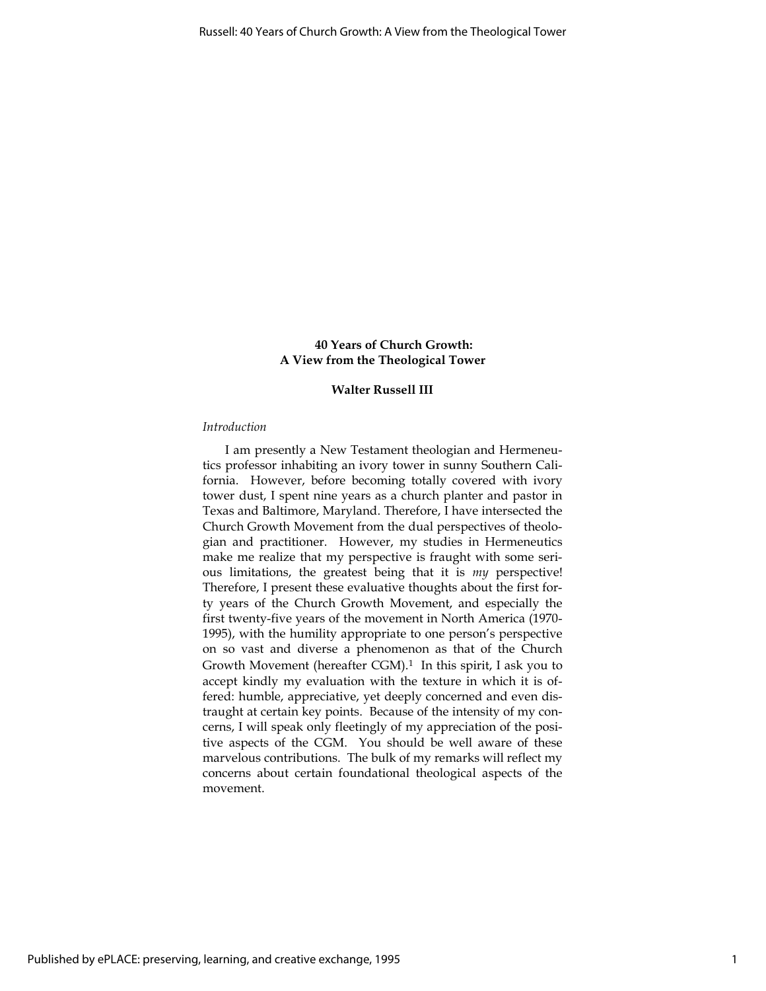## 40 Years of Church Growth: A View from the Theological Tower

## Walter Russell III

### Introduction

I am presently a New Testament theologian and Hermeneutics professor inhabiting an ivory tower in sunny Southern California. However, before becoming totally covered with ivory tower dust, I spent nine years as a church planter and pastor in Texas and Baltimore, Maryland. Therefore, I have intersected the Church Growth Movement from the dual perspectives of theologian and practitioner. However, my studies in Hermeneutics make me realize that my perspective is fraught with some serious limitations, the greatest being that it is my perspective! Therefore, I present these evaluative thoughts about the first forty years of the Church Growth Movement, and especially the first twenty-five years of the movement in North America (1970- 1995), with the humility appropriate to one person's perspective on so vast and diverse a phenomenon as that of the Church Growth Movement (hereafter CGM).<sup>1</sup> In this spirit, I ask you to accept kindly my evaluation with the texture in which it is offered: humble, appreciative, yet deeply concerned and even distraught at certain key points. Because of the intensity of my concerns, I will speak only fleetingly of my appreciation of the positive aspects of the CGM. You should be well aware of these marvelous contributions. The bulk of my remarks will reflect my concerns about certain foundational theological aspects of the movement.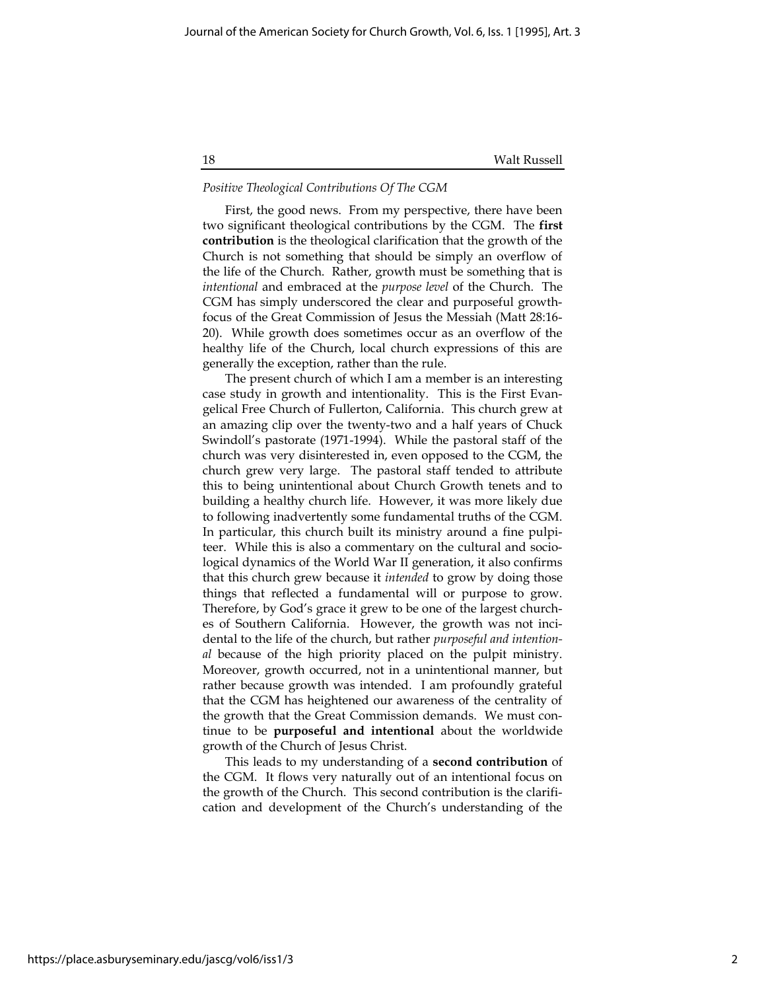## Positive Theological Contributions Of The CGM

First, the good news. From my perspective, there have been two significant theological contributions by the CGM. The first contribution is the theological clarification that the growth of the Church is not something that should be simply an overflow of the life of the Church. Rather, growth must be something that is intentional and embraced at the purpose level of the Church. The CGM has simply underscored the clear and purposeful growthfocus of the Great Commission of Jesus the Messiah (Matt 28:16- 20). While growth does sometimes occur as an overflow of the healthy life of the Church, local church expressions of this are generally the exception, rather than the rule.

The present church of which I am a member is an interesting case study in growth and intentionality. This is the First Evangelical Free Church of Fullerton, California. This church grew at an amazing clip over the twenty-two and a half years of Chuck Swindoll's pastorate (1971-1994). While the pastoral staff of the church was very disinterested in, even opposed to the CGM, the church grew very large. The pastoral staff tended to attribute this to being unintentional about Church Growth tenets and to building a healthy church life. However, it was more likely due to following inadvertently some fundamental truths of the CGM. In particular, this church built its ministry around a fine pulpiteer. While this is also a commentary on the cultural and sociological dynamics of the World War II generation, it also confirms that this church grew because it *intended* to grow by doing those things that reflected a fundamental will or purpose to grow. Therefore, by God's grace it grew to be one of the largest churches of Southern California. However, the growth was not incidental to the life of the church, but rather purposeful and intentional because of the high priority placed on the pulpit ministry. Moreover, growth occurred, not in a unintentional manner, but rather because growth was intended. I am profoundly grateful that the CGM has heightened our awareness of the centrality of the growth that the Great Commission demands. We must continue to be purposeful and intentional about the worldwide growth of the Church of Jesus Christ.

This leads to my understanding of a second contribution of the CGM. It flows very naturally out of an intentional focus on the growth of the Church. This second contribution is the clarification and development of the Church's understanding of the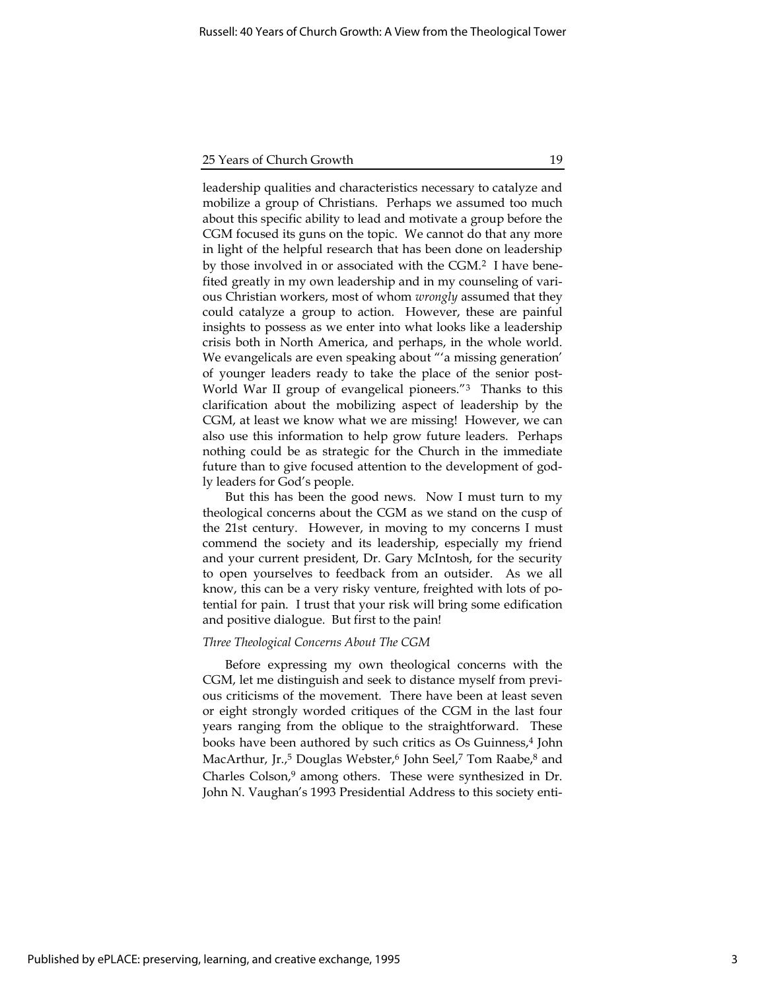leadership qualities and characteristics necessary to catalyze and mobilize a group of Christians. Perhaps we assumed too much about this specific ability to lead and motivate a group before the CGM focused its guns on the topic. We cannot do that any more in light of the helpful research that has been done on leadership by those involved in or associated with the CGM.<sup>2</sup> I have benefited greatly in my own leadership and in my counseling of various Christian workers, most of whom wrongly assumed that they could catalyze a group to action. However, these are painful insights to possess as we enter into what looks like a leadership crisis both in North America, and perhaps, in the whole world. We evangelicals are even speaking about "'a missing generation' of younger leaders ready to take the place of the senior post-World War II group of evangelical pioneers."<sup>3</sup> Thanks to this clarification about the mobilizing aspect of leadership by the CGM, at least we know what we are missing! However, we can also use this information to help grow future leaders. Perhaps nothing could be as strategic for the Church in the immediate future than to give focused attention to the development of godly leaders for God's people.

But this has been the good news. Now I must turn to my theological concerns about the CGM as we stand on the cusp of the 21st century. However, in moving to my concerns I must commend the society and its leadership, especially my friend and your current president, Dr. Gary McIntosh, for the security to open yourselves to feedback from an outsider. As we all know, this can be a very risky venture, freighted with lots of potential for pain. I trust that your risk will bring some edification and positive dialogue. But first to the pain!

#### Three Theological Concerns About The CGM

Before expressing my own theological concerns with the CGM, let me distinguish and seek to distance myself from previous criticisms of the movement. There have been at least seven or eight strongly worded critiques of the CGM in the last four years ranging from the oblique to the straightforward. These books have been authored by such critics as Os Guinness,<sup>4</sup> John MacArthur, Jr.,<sup>5</sup> Douglas Webster,<sup>6</sup> John Seel,<sup>7</sup> Tom Raabe,<sup>8</sup> and Charles Colson,<sup>9</sup> among others. These were synthesized in Dr. John N. Vaughan's 1993 Presidential Address to this society enti-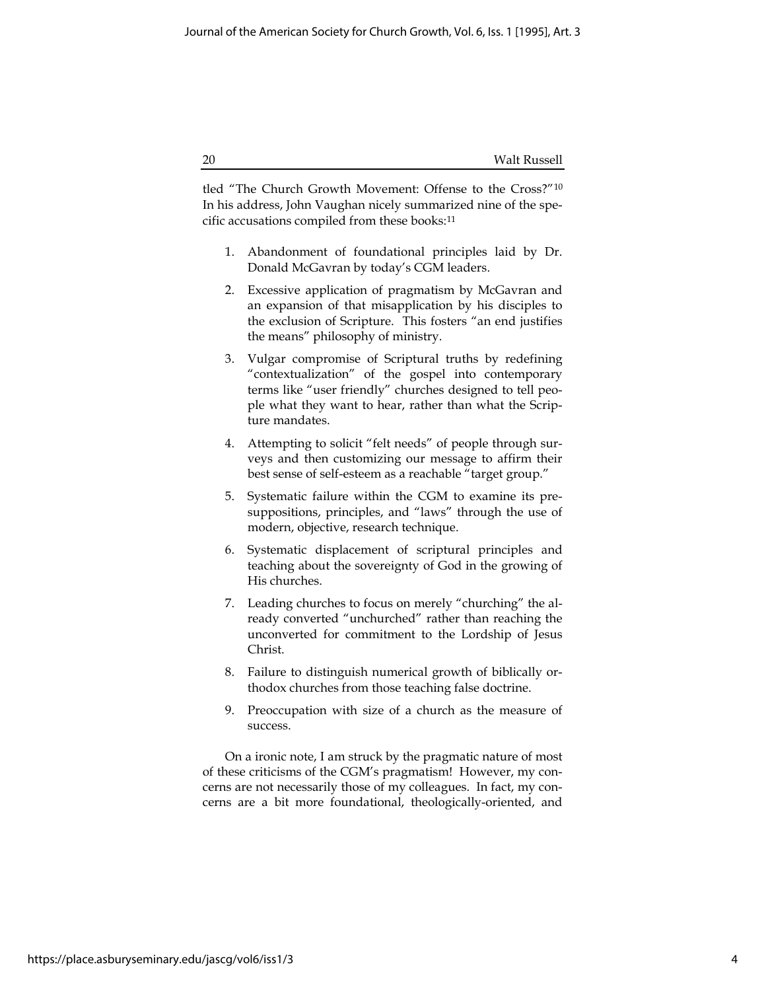tled "The Church Growth Movement: Offense to the Cross?"<sup>10</sup> In his address, John Vaughan nicely summarized nine of the specific accusations compiled from these books:<sup>11</sup>

- 1. Abandonment of foundational principles laid by Dr. Donald McGavran by today's CGM leaders.
- 2. Excessive application of pragmatism by McGavran and an expansion of that misapplication by his disciples to the exclusion of Scripture. This fosters "an end justifies the means" philosophy of ministry.
- 3. Vulgar compromise of Scriptural truths by redefining "contextualization" of the gospel into contemporary terms like "user friendly" churches designed to tell people what they want to hear, rather than what the Scripture mandates.
- 4. Attempting to solicit "felt needs" of people through surveys and then customizing our message to affirm their best sense of self-esteem as a reachable "target group."
- 5. Systematic failure within the CGM to examine its presuppositions, principles, and "laws" through the use of modern, objective, research technique.
- 6. Systematic displacement of scriptural principles and teaching about the sovereignty of God in the growing of His churches.
- 7. Leading churches to focus on merely "churching" the already converted "unchurched" rather than reaching the unconverted for commitment to the Lordship of Jesus Christ.
- 8. Failure to distinguish numerical growth of biblically orthodox churches from those teaching false doctrine.
- 9. Preoccupation with size of a church as the measure of success.

On a ironic note, I am struck by the pragmatic nature of most of these criticisms of the CGM's pragmatism! However, my concerns are not necessarily those of my colleagues. In fact, my concerns are a bit more foundational, theologically-oriented, and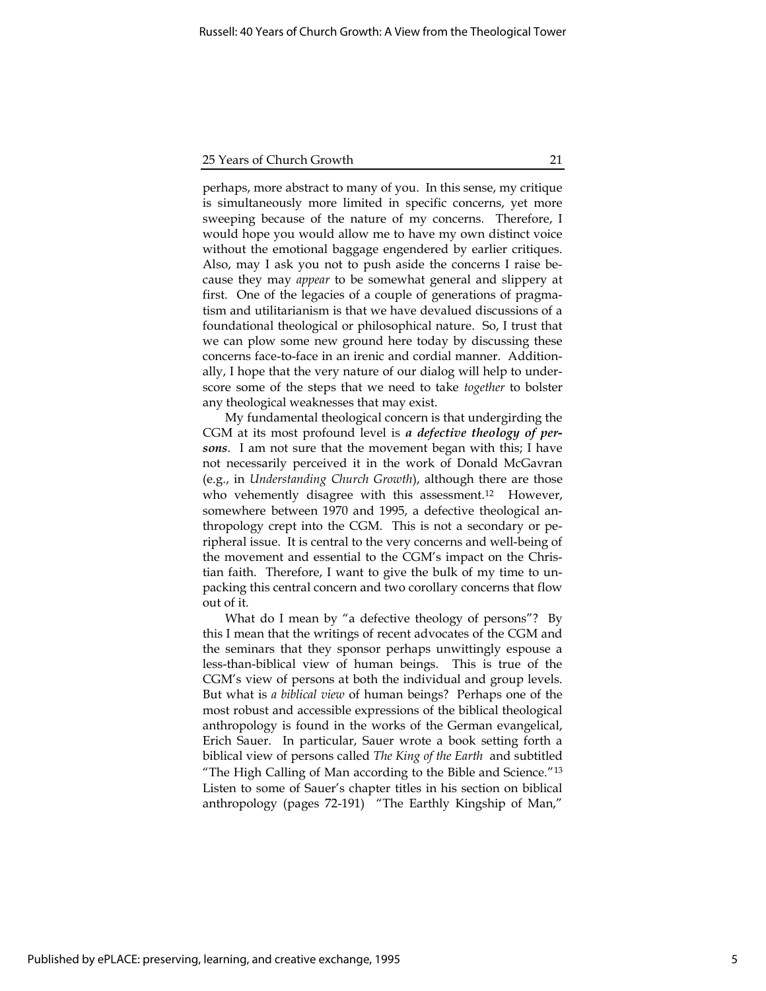perhaps, more abstract to many of you. In this sense, my critique is simultaneously more limited in specific concerns, yet more sweeping because of the nature of my concerns. Therefore, I would hope you would allow me to have my own distinct voice without the emotional baggage engendered by earlier critiques. Also, may I ask you not to push aside the concerns I raise because they may appear to be somewhat general and slippery at first. One of the legacies of a couple of generations of pragmatism and utilitarianism is that we have devalued discussions of a foundational theological or philosophical nature. So, I trust that we can plow some new ground here today by discussing these concerns face-to-face in an irenic and cordial manner. Additionally, I hope that the very nature of our dialog will help to underscore some of the steps that we need to take together to bolster any theological weaknesses that may exist.

My fundamental theological concern is that undergirding the CGM at its most profound level is a defective theology of persons. I am not sure that the movement began with this; I have not necessarily perceived it in the work of Donald McGavran (e.g., in Understanding Church Growth), although there are those who vehemently disagree with this assessment.<sup>12</sup> However, somewhere between 1970 and 1995, a defective theological anthropology crept into the CGM. This is not a secondary or peripheral issue. It is central to the very concerns and well-being of the movement and essential to the CGM's impact on the Christian faith. Therefore, I want to give the bulk of my time to unpacking this central concern and two corollary concerns that flow out of it.

What do I mean by "a defective theology of persons"? By this I mean that the writings of recent advocates of the CGM and the seminars that they sponsor perhaps unwittingly espouse a less-than-biblical view of human beings. This is true of the CGM's view of persons at both the individual and group levels. But what is a biblical view of human beings? Perhaps one of the most robust and accessible expressions of the biblical theological anthropology is found in the works of the German evangelical, Erich Sauer. In particular, Sauer wrote a book setting forth a biblical view of persons called The King of the Earth and subtitled "The High Calling of Man according to the Bible and Science."<sup>13</sup> Listen to some of Sauer's chapter titles in his section on biblical anthropology (pages 72-191) "The Earthly Kingship of Man,"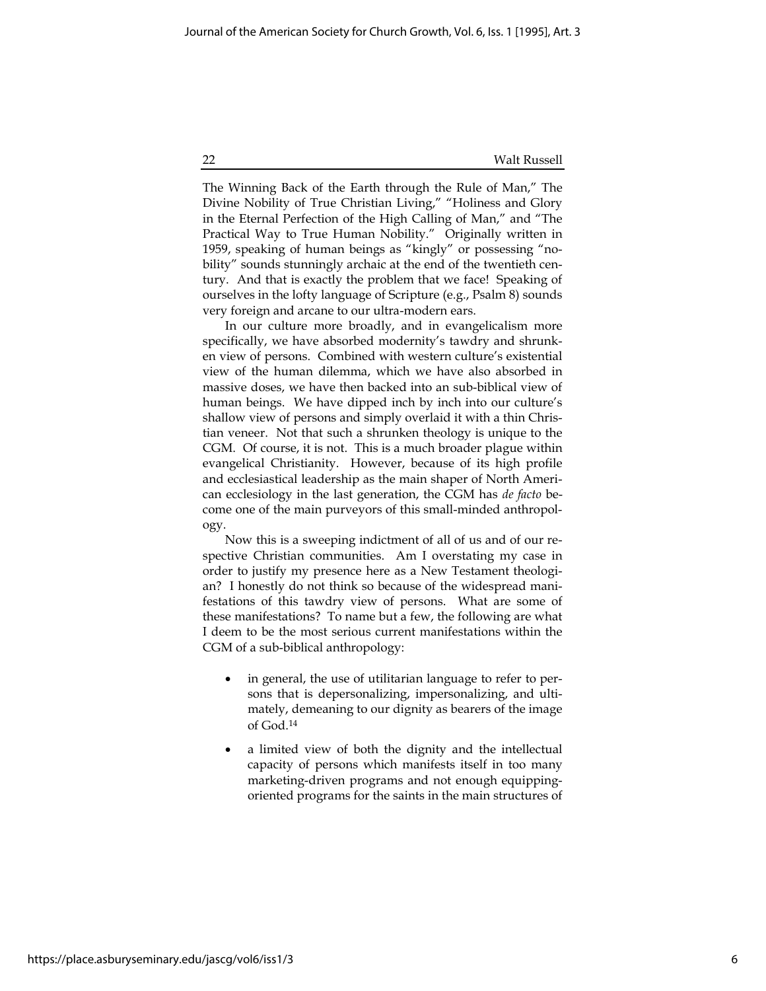The Winning Back of the Earth through the Rule of Man," The Divine Nobility of True Christian Living," "Holiness and Glory in the Eternal Perfection of the High Calling of Man," and "The Practical Way to True Human Nobility." Originally written in 1959, speaking of human beings as "kingly" or possessing "nobility" sounds stunningly archaic at the end of the twentieth century. And that is exactly the problem that we face! Speaking of ourselves in the lofty language of Scripture (e.g., Psalm 8) sounds very foreign and arcane to our ultra-modern ears.

In our culture more broadly, and in evangelicalism more specifically, we have absorbed modernity's tawdry and shrunken view of persons. Combined with western culture's existential view of the human dilemma, which we have also absorbed in massive doses, we have then backed into an sub-biblical view of human beings. We have dipped inch by inch into our culture's shallow view of persons and simply overlaid it with a thin Christian veneer. Not that such a shrunken theology is unique to the CGM. Of course, it is not. This is a much broader plague within evangelical Christianity. However, because of its high profile and ecclesiastical leadership as the main shaper of North American ecclesiology in the last generation, the CGM has de facto become one of the main purveyors of this small-minded anthropology.

Now this is a sweeping indictment of all of us and of our respective Christian communities. Am I overstating my case in order to justify my presence here as a New Testament theologian? I honestly do not think so because of the widespread manifestations of this tawdry view of persons. What are some of these manifestations? To name but a few, the following are what I deem to be the most serious current manifestations within the CGM of a sub-biblical anthropology:

- in general, the use of utilitarian language to refer to persons that is depersonalizing, impersonalizing, and ultimately, demeaning to our dignity as bearers of the image of God.<sup>14</sup>
- a limited view of both the dignity and the intellectual capacity of persons which manifests itself in too many marketing-driven programs and not enough equippingoriented programs for the saints in the main structures of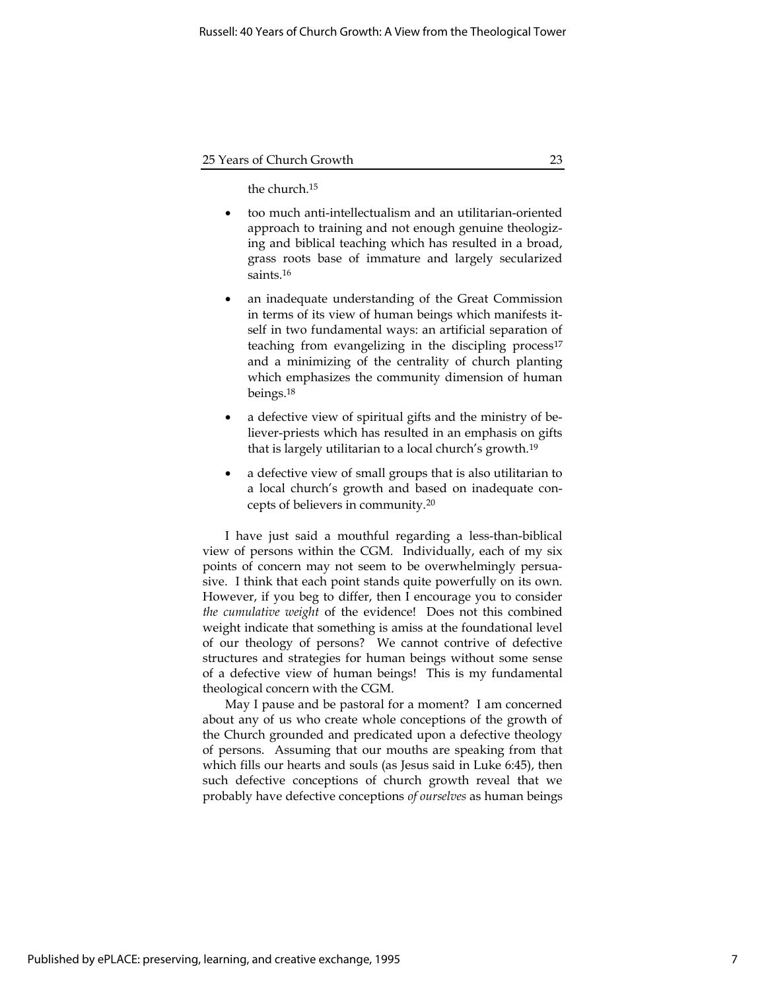the church.<sup>15</sup>

- too much anti-intellectualism and an utilitarian-oriented approach to training and not enough genuine theologizing and biblical teaching which has resulted in a broad, grass roots base of immature and largely secularized saints.<sup>16</sup>
- an inadequate understanding of the Great Commission in terms of its view of human beings which manifests itself in two fundamental ways: an artificial separation of teaching from evangelizing in the discipling process<sup>17</sup> and a minimizing of the centrality of church planting which emphasizes the community dimension of human beings.<sup>18</sup>
- a defective view of spiritual gifts and the ministry of believer-priests which has resulted in an emphasis on gifts that is largely utilitarian to a local church's growth.<sup>19</sup>
- a defective view of small groups that is also utilitarian to a local church's growth and based on inadequate concepts of believers in community.<sup>20</sup>

I have just said a mouthful regarding a less-than-biblical view of persons within the CGM. Individually, each of my six points of concern may not seem to be overwhelmingly persuasive. I think that each point stands quite powerfully on its own. However, if you beg to differ, then I encourage you to consider the cumulative weight of the evidence! Does not this combined weight indicate that something is amiss at the foundational level of our theology of persons? We cannot contrive of defective structures and strategies for human beings without some sense of a defective view of human beings! This is my fundamental theological concern with the CGM.

May I pause and be pastoral for a moment? I am concerned about any of us who create whole conceptions of the growth of the Church grounded and predicated upon a defective theology of persons. Assuming that our mouths are speaking from that which fills our hearts and souls (as Jesus said in Luke 6:45), then such defective conceptions of church growth reveal that we probably have defective conceptions of ourselves as human beings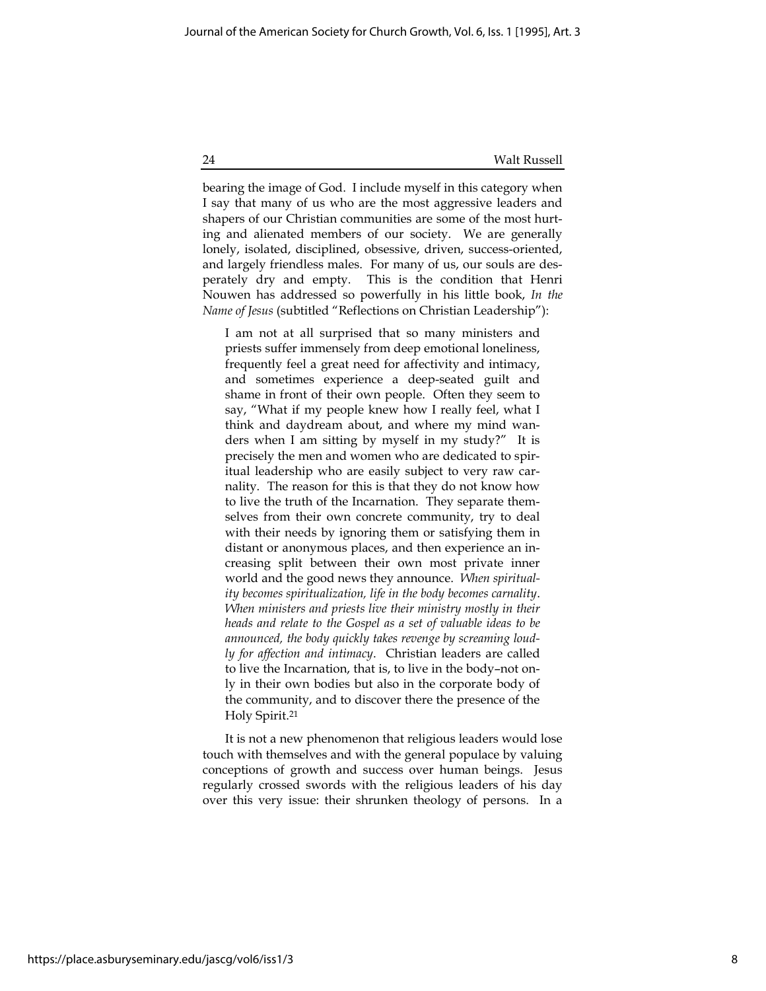bearing the image of God. I include myself in this category when I say that many of us who are the most aggressive leaders and shapers of our Christian communities are some of the most hurting and alienated members of our society. We are generally lonely, isolated, disciplined, obsessive, driven, success-oriented, and largely friendless males. For many of us, our souls are desperately dry and empty. This is the condition that Henri Nouwen has addressed so powerfully in his little book, In the Name of Jesus (subtitled "Reflections on Christian Leadership"):

I am not at all surprised that so many ministers and priests suffer immensely from deep emotional loneliness, frequently feel a great need for affectivity and intimacy, and sometimes experience a deep-seated guilt and shame in front of their own people. Often they seem to say, "What if my people knew how I really feel, what I think and daydream about, and where my mind wanders when I am sitting by myself in my study?" It is precisely the men and women who are dedicated to spiritual leadership who are easily subject to very raw carnality. The reason for this is that they do not know how to live the truth of the Incarnation. They separate themselves from their own concrete community, try to deal with their needs by ignoring them or satisfying them in distant or anonymous places, and then experience an increasing split between their own most private inner world and the good news they announce. When spirituality becomes spiritualization, life in the body becomes carnality. When ministers and priests live their ministry mostly in their heads and relate to the Gospel as a set of valuable ideas to be announced, the body quickly takes revenge by screaming loudly for affection and intimacy. Christian leaders are called to live the Incarnation, that is, to live in the body–not only in their own bodies but also in the corporate body of the community, and to discover there the presence of the Holy Spirit.<sup>21</sup>

It is not a new phenomenon that religious leaders would lose touch with themselves and with the general populace by valuing conceptions of growth and success over human beings. Jesus regularly crossed swords with the religious leaders of his day over this very issue: their shrunken theology of persons. In a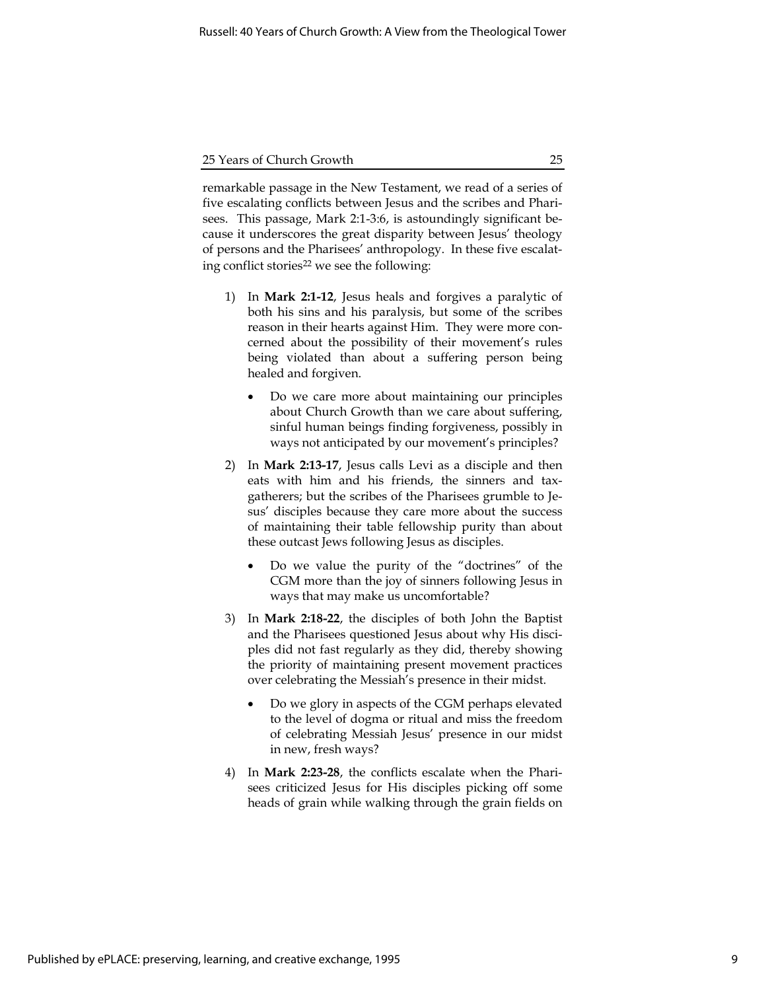remarkable passage in the New Testament, we read of a series of five escalating conflicts between Jesus and the scribes and Pharisees. This passage, Mark 2:1-3:6, is astoundingly significant because it underscores the great disparity between Jesus' theology of persons and the Pharisees' anthropology. In these five escalating conflict stories<sup>22</sup> we see the following:

- 1) In Mark 2:1-12, Jesus heals and forgives a paralytic of both his sins and his paralysis, but some of the scribes reason in their hearts against Him. They were more concerned about the possibility of their movement's rules being violated than about a suffering person being healed and forgiven.
	- Do we care more about maintaining our principles about Church Growth than we care about suffering, sinful human beings finding forgiveness, possibly in ways not anticipated by our movement's principles?
- 2) In Mark 2:13-17, Jesus calls Levi as a disciple and then eats with him and his friends, the sinners and taxgatherers; but the scribes of the Pharisees grumble to Jesus' disciples because they care more about the success of maintaining their table fellowship purity than about these outcast Jews following Jesus as disciples.
	- Do we value the purity of the "doctrines" of the CGM more than the joy of sinners following Jesus in ways that may make us uncomfortable?
- 3) In Mark 2:18-22, the disciples of both John the Baptist and the Pharisees questioned Jesus about why His disciples did not fast regularly as they did, thereby showing the priority of maintaining present movement practices over celebrating the Messiah's presence in their midst.
	- Do we glory in aspects of the CGM perhaps elevated to the level of dogma or ritual and miss the freedom of celebrating Messiah Jesus' presence in our midst in new, fresh ways?
- 4) In Mark 2:23-28, the conflicts escalate when the Pharisees criticized Jesus for His disciples picking off some heads of grain while walking through the grain fields on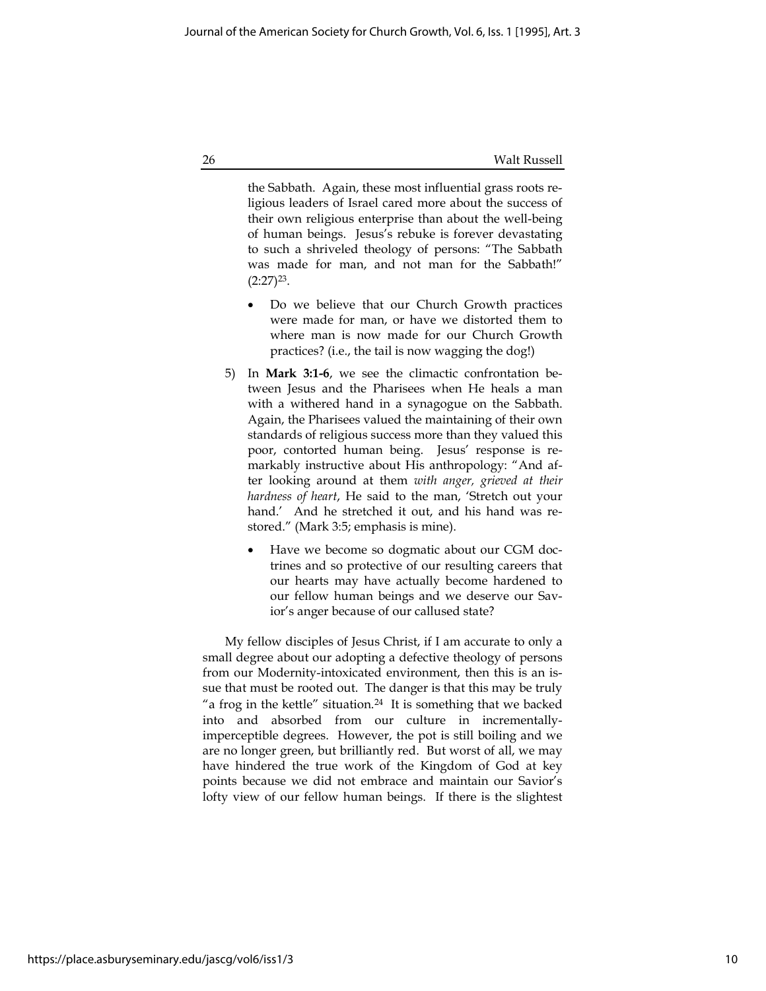the Sabbath. Again, these most influential grass roots religious leaders of Israel cared more about the success of their own religious enterprise than about the well-being of human beings. Jesus's rebuke is forever devastating to such a shriveled theology of persons: "The Sabbath was made for man, and not man for the Sabbath!"  $(2:27)^{23}$ .

- Do we believe that our Church Growth practices were made for man, or have we distorted them to where man is now made for our Church Growth practices? (i.e., the tail is now wagging the dog!)
- 5) In Mark 3:1-6, we see the climactic confrontation between Jesus and the Pharisees when He heals a man with a withered hand in a synagogue on the Sabbath. Again, the Pharisees valued the maintaining of their own standards of religious success more than they valued this poor, contorted human being. Jesus' response is remarkably instructive about His anthropology: "And after looking around at them with anger, grieved at their hardness of heart, He said to the man, 'Stretch out your hand.' And he stretched it out, and his hand was restored." (Mark 3:5; emphasis is mine).
	- Have we become so dogmatic about our CGM doctrines and so protective of our resulting careers that our hearts may have actually become hardened to our fellow human beings and we deserve our Savior's anger because of our callused state?

My fellow disciples of Jesus Christ, if I am accurate to only a small degree about our adopting a defective theology of persons from our Modernity-intoxicated environment, then this is an issue that must be rooted out. The danger is that this may be truly "a frog in the kettle" situation. $24$  It is something that we backed into and absorbed from our culture in incrementallyimperceptible degrees. However, the pot is still boiling and we are no longer green, but brilliantly red. But worst of all, we may have hindered the true work of the Kingdom of God at key points because we did not embrace and maintain our Savior's lofty view of our fellow human beings. If there is the slightest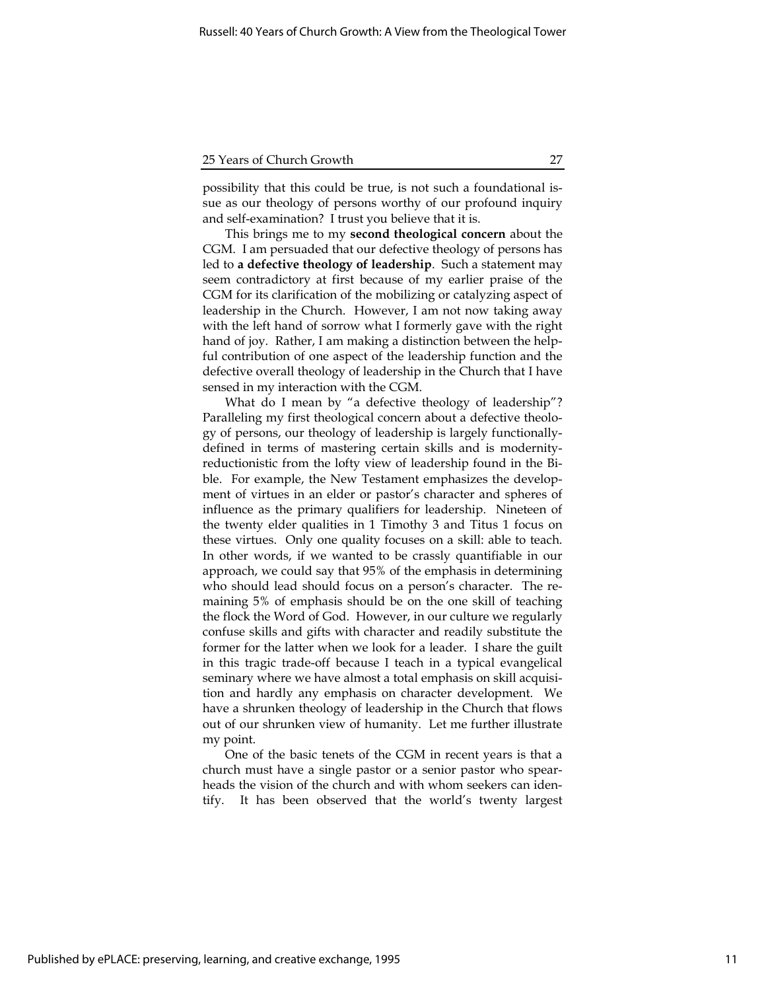possibility that this could be true, is not such a foundational issue as our theology of persons worthy of our profound inquiry and self-examination? I trust you believe that it is.

This brings me to my second theological concern about the CGM. I am persuaded that our defective theology of persons has led to a defective theology of leadership. Such a statement may seem contradictory at first because of my earlier praise of the CGM for its clarification of the mobilizing or catalyzing aspect of leadership in the Church. However, I am not now taking away with the left hand of sorrow what I formerly gave with the right hand of joy. Rather, I am making a distinction between the helpful contribution of one aspect of the leadership function and the defective overall theology of leadership in the Church that I have sensed in my interaction with the CGM.

What do I mean by "a defective theology of leadership"? Paralleling my first theological concern about a defective theology of persons, our theology of leadership is largely functionallydefined in terms of mastering certain skills and is modernityreductionistic from the lofty view of leadership found in the Bible. For example, the New Testament emphasizes the development of virtues in an elder or pastor's character and spheres of influence as the primary qualifiers for leadership. Nineteen of the twenty elder qualities in 1 Timothy 3 and Titus 1 focus on these virtues. Only one quality focuses on a skill: able to teach. In other words, if we wanted to be crassly quantifiable in our approach, we could say that 95% of the emphasis in determining who should lead should focus on a person's character. The remaining 5% of emphasis should be on the one skill of teaching the flock the Word of God. However, in our culture we regularly confuse skills and gifts with character and readily substitute the former for the latter when we look for a leader. I share the guilt in this tragic trade-off because I teach in a typical evangelical seminary where we have almost a total emphasis on skill acquisition and hardly any emphasis on character development. We have a shrunken theology of leadership in the Church that flows out of our shrunken view of humanity. Let me further illustrate my point.

One of the basic tenets of the CGM in recent years is that a church must have a single pastor or a senior pastor who spearheads the vision of the church and with whom seekers can identify. It has been observed that the world's twenty largest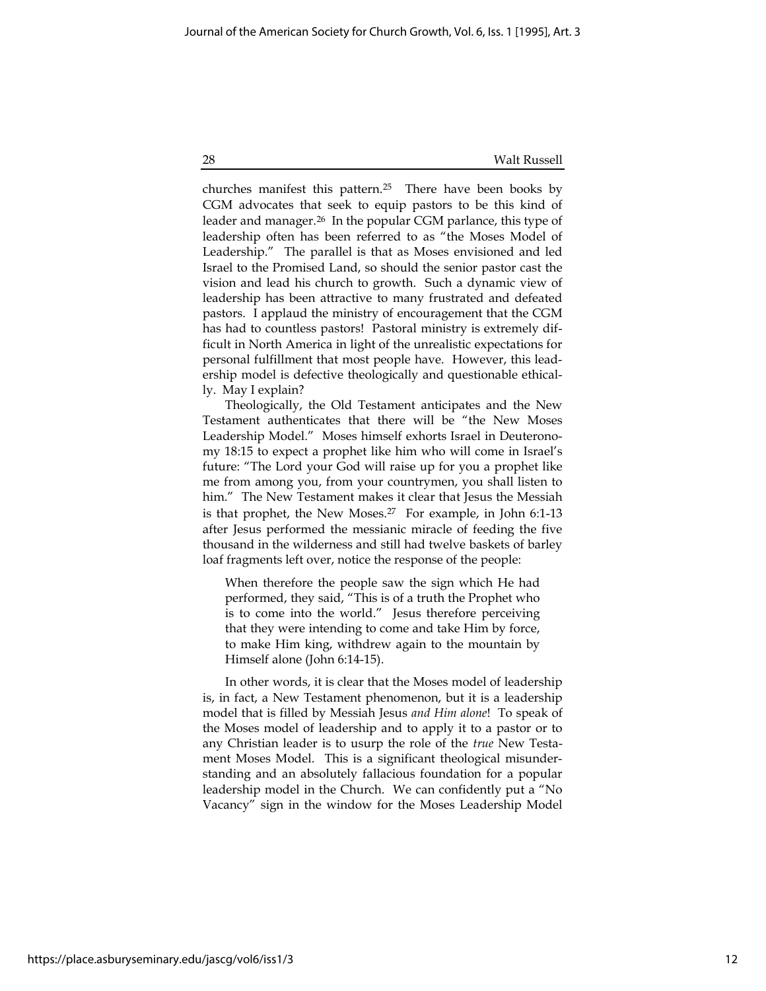churches manifest this pattern.<sup>25</sup> There have been books by CGM advocates that seek to equip pastors to be this kind of leader and manager.<sup>26</sup> In the popular CGM parlance, this type of leadership often has been referred to as "the Moses Model of Leadership." The parallel is that as Moses envisioned and led Israel to the Promised Land, so should the senior pastor cast the vision and lead his church to growth. Such a dynamic view of leadership has been attractive to many frustrated and defeated pastors. I applaud the ministry of encouragement that the CGM has had to countless pastors! Pastoral ministry is extremely difficult in North America in light of the unrealistic expectations for personal fulfillment that most people have. However, this leadership model is defective theologically and questionable ethically. May I explain?

Theologically, the Old Testament anticipates and the New Testament authenticates that there will be "the New Moses Leadership Model." Moses himself exhorts Israel in Deuteronomy 18:15 to expect a prophet like him who will come in Israel's future: "The Lord your God will raise up for you a prophet like me from among you, from your countrymen, you shall listen to him." The New Testament makes it clear that Jesus the Messiah is that prophet, the New Moses.<sup>27</sup> For example, in John 6:1-13 after Jesus performed the messianic miracle of feeding the five thousand in the wilderness and still had twelve baskets of barley loaf fragments left over, notice the response of the people:

When therefore the people saw the sign which He had performed, they said, "This is of a truth the Prophet who is to come into the world." Jesus therefore perceiving that they were intending to come and take Him by force, to make Him king, withdrew again to the mountain by Himself alone (John 6:14-15).

In other words, it is clear that the Moses model of leadership is, in fact, a New Testament phenomenon, but it is a leadership model that is filled by Messiah Jesus and Him alone! To speak of the Moses model of leadership and to apply it to a pastor or to any Christian leader is to usurp the role of the true New Testament Moses Model. This is a significant theological misunderstanding and an absolutely fallacious foundation for a popular leadership model in the Church. We can confidently put a "No Vacancy" sign in the window for the Moses Leadership Model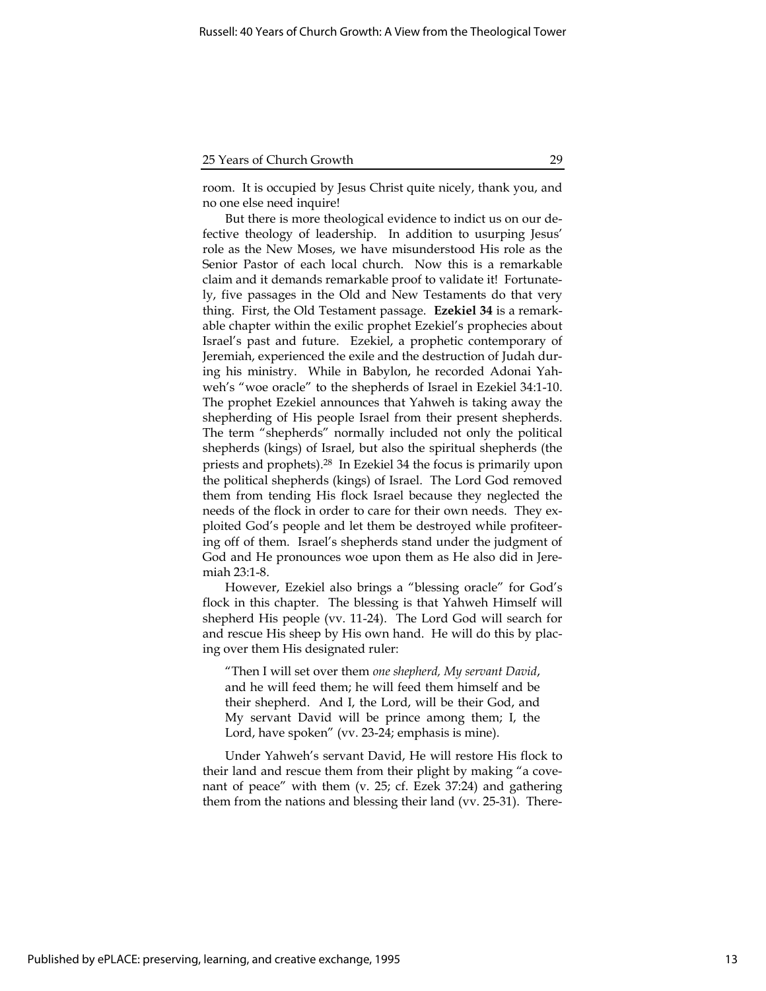room. It is occupied by Jesus Christ quite nicely, thank you, and no one else need inquire!

But there is more theological evidence to indict us on our defective theology of leadership. In addition to usurping Jesus' role as the New Moses, we have misunderstood His role as the Senior Pastor of each local church. Now this is a remarkable claim and it demands remarkable proof to validate it! Fortunately, five passages in the Old and New Testaments do that very thing. First, the Old Testament passage. Ezekiel 34 is a remarkable chapter within the exilic prophet Ezekiel's prophecies about Israel's past and future. Ezekiel, a prophetic contemporary of Jeremiah, experienced the exile and the destruction of Judah during his ministry. While in Babylon, he recorded Adonai Yahweh's "woe oracle" to the shepherds of Israel in Ezekiel 34:1-10. The prophet Ezekiel announces that Yahweh is taking away the shepherding of His people Israel from their present shepherds. The term "shepherds" normally included not only the political shepherds (kings) of Israel, but also the spiritual shepherds (the priests and prophets).<sup>28</sup> In Ezekiel 34 the focus is primarily upon the political shepherds (kings) of Israel. The Lord God removed them from tending His flock Israel because they neglected the needs of the flock in order to care for their own needs. They exploited God's people and let them be destroyed while profiteering off of them. Israel's shepherds stand under the judgment of God and He pronounces woe upon them as He also did in Jeremiah 23:1-8.

However, Ezekiel also brings a "blessing oracle" for God's flock in this chapter. The blessing is that Yahweh Himself will shepherd His people (vv. 11-24). The Lord God will search for and rescue His sheep by His own hand. He will do this by placing over them His designated ruler:

"Then I will set over them one shepherd, My servant David, and he will feed them; he will feed them himself and be their shepherd. And I, the Lord, will be their God, and My servant David will be prince among them; I, the Lord, have spoken" (vv. 23-24; emphasis is mine).

Under Yahweh's servant David, He will restore His flock to their land and rescue them from their plight by making "a covenant of peace" with them (v. 25; cf. Ezek 37:24) and gathering them from the nations and blessing their land (vv. 25-31). There-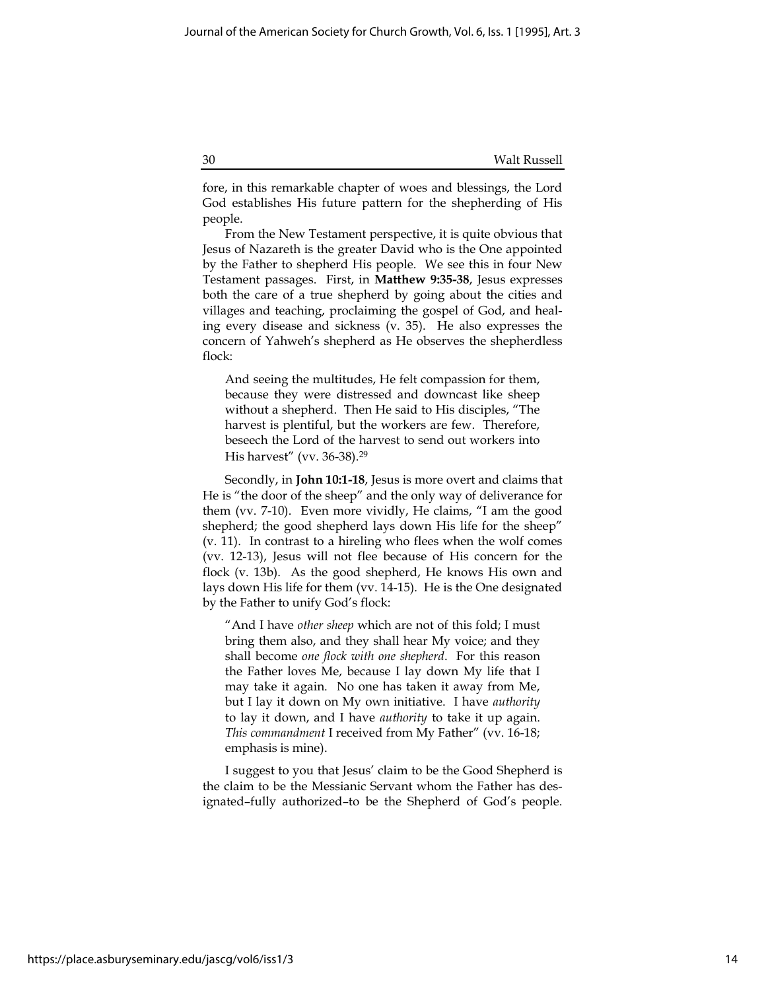fore, in this remarkable chapter of woes and blessings, the Lord God establishes His future pattern for the shepherding of His people.

From the New Testament perspective, it is quite obvious that Jesus of Nazareth is the greater David who is the One appointed by the Father to shepherd His people. We see this in four New Testament passages. First, in Matthew 9:35-38, Jesus expresses both the care of a true shepherd by going about the cities and villages and teaching, proclaiming the gospel of God, and healing every disease and sickness (v. 35). He also expresses the concern of Yahweh's shepherd as He observes the shepherdless flock:

And seeing the multitudes, He felt compassion for them, because they were distressed and downcast like sheep without a shepherd. Then He said to His disciples, "The harvest is plentiful, but the workers are few. Therefore, beseech the Lord of the harvest to send out workers into His harvest" (vv. 36-38).<sup>29</sup>

Secondly, in **John 10:1-18**, Jesus is more overt and claims that He is "the door of the sheep" and the only way of deliverance for them (vv. 7-10). Even more vividly, He claims, "I am the good shepherd; the good shepherd lays down His life for the sheep" (v. 11). In contrast to a hireling who flees when the wolf comes (vv. 12-13), Jesus will not flee because of His concern for the flock (v. 13b). As the good shepherd, He knows His own and lays down His life for them (vv. 14-15). He is the One designated by the Father to unify God's flock:

"And I have other sheep which are not of this fold; I must bring them also, and they shall hear My voice; and they shall become one flock with one shepherd. For this reason the Father loves Me, because I lay down My life that I may take it again. No one has taken it away from Me, but I lay it down on My own initiative. I have authority to lay it down, and I have authority to take it up again. This commandment I received from My Father" (vv. 16-18; emphasis is mine).

I suggest to you that Jesus' claim to be the Good Shepherd is the claim to be the Messianic Servant whom the Father has designated–fully authorized–to be the Shepherd of God's people.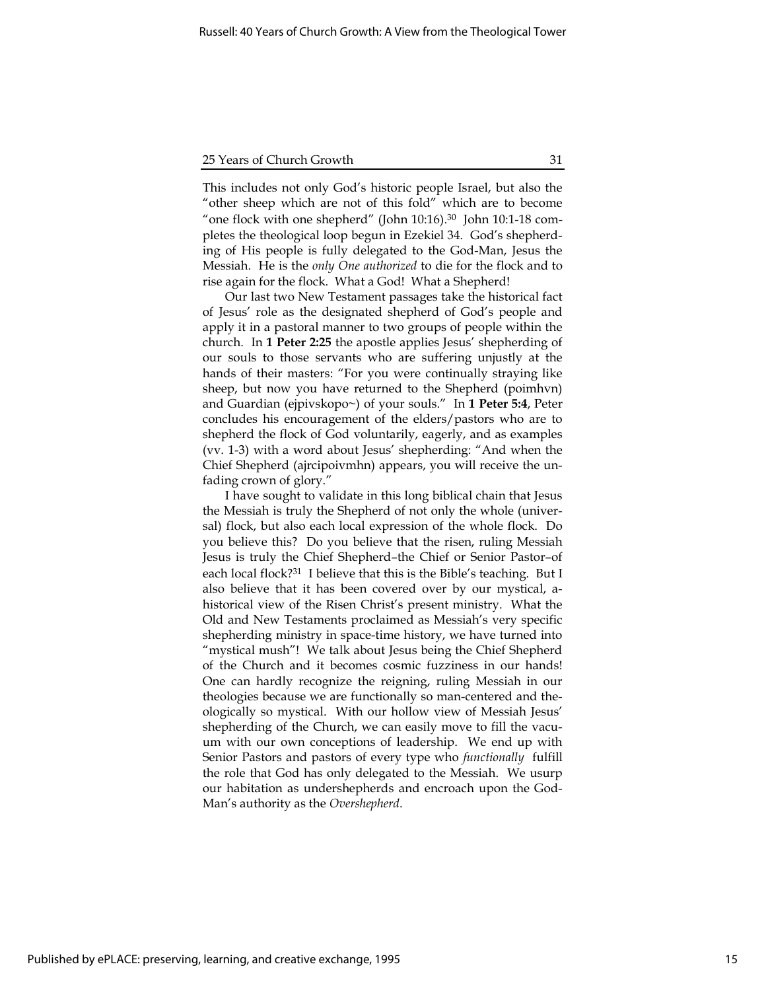This includes not only God's historic people Israel, but also the "other sheep which are not of this fold" which are to become "one flock with one shepherd" (John 10:16).<sup>30</sup> John 10:1-18 completes the theological loop begun in Ezekiel 34. God's shepherding of His people is fully delegated to the God-Man, Jesus the Messiah. He is the only One authorized to die for the flock and to rise again for the flock. What a God! What a Shepherd!

Our last two New Testament passages take the historical fact of Jesus' role as the designated shepherd of God's people and apply it in a pastoral manner to two groups of people within the church. In 1 Peter 2:25 the apostle applies Jesus' shepherding of our souls to those servants who are suffering unjustly at the hands of their masters: "For you were continually straying like sheep, but now you have returned to the Shepherd (poimhvn) and Guardian (ejpivskopo~) of your souls." In 1 Peter 5:4, Peter concludes his encouragement of the elders/pastors who are to shepherd the flock of God voluntarily, eagerly, and as examples (vv. 1-3) with a word about Jesus' shepherding: "And when the Chief Shepherd (ajrcipoivmhn) appears, you will receive the unfading crown of glory."

I have sought to validate in this long biblical chain that Jesus the Messiah is truly the Shepherd of not only the whole (universal) flock, but also each local expression of the whole flock. Do you believe this? Do you believe that the risen, ruling Messiah Jesus is truly the Chief Shepherd–the Chief or Senior Pastor–of each local flock?<sup>31</sup> I believe that this is the Bible's teaching. But I also believe that it has been covered over by our mystical, ahistorical view of the Risen Christ's present ministry. What the Old and New Testaments proclaimed as Messiah's very specific shepherding ministry in space-time history, we have turned into "mystical mush"! We talk about Jesus being the Chief Shepherd of the Church and it becomes cosmic fuzziness in our hands! One can hardly recognize the reigning, ruling Messiah in our theologies because we are functionally so man-centered and theologically so mystical. With our hollow view of Messiah Jesus' shepherding of the Church, we can easily move to fill the vacuum with our own conceptions of leadership. We end up with Senior Pastors and pastors of every type who functionally fulfill the role that God has only delegated to the Messiah. We usurp our habitation as undershepherds and encroach upon the God-Man's authority as the Overshepherd.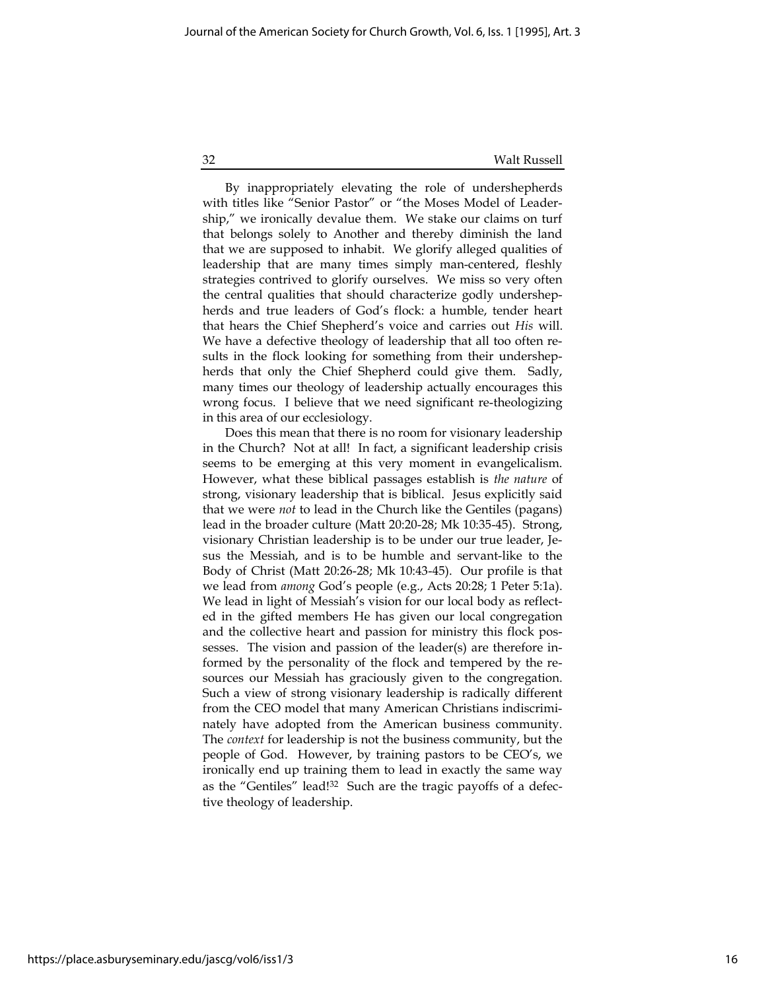By inappropriately elevating the role of undershepherds with titles like "Senior Pastor" or "the Moses Model of Leadership," we ironically devalue them. We stake our claims on turf that belongs solely to Another and thereby diminish the land that we are supposed to inhabit. We glorify alleged qualities of leadership that are many times simply man-centered, fleshly strategies contrived to glorify ourselves. We miss so very often the central qualities that should characterize godly undershepherds and true leaders of God's flock: a humble, tender heart that hears the Chief Shepherd's voice and carries out His will. We have a defective theology of leadership that all too often results in the flock looking for something from their undershepherds that only the Chief Shepherd could give them. Sadly, many times our theology of leadership actually encourages this wrong focus. I believe that we need significant re-theologizing in this area of our ecclesiology.

Does this mean that there is no room for visionary leadership in the Church? Not at all! In fact, a significant leadership crisis seems to be emerging at this very moment in evangelicalism. However, what these biblical passages establish is the nature of strong, visionary leadership that is biblical. Jesus explicitly said that we were not to lead in the Church like the Gentiles (pagans) lead in the broader culture (Matt 20:20-28; Mk 10:35-45). Strong, visionary Christian leadership is to be under our true leader, Jesus the Messiah, and is to be humble and servant-like to the Body of Christ (Matt 20:26-28; Mk 10:43-45). Our profile is that we lead from among God's people (e.g., Acts 20:28; 1 Peter 5:1a). We lead in light of Messiah's vision for our local body as reflected in the gifted members He has given our local congregation and the collective heart and passion for ministry this flock possesses. The vision and passion of the leader(s) are therefore informed by the personality of the flock and tempered by the resources our Messiah has graciously given to the congregation. Such a view of strong visionary leadership is radically different from the CEO model that many American Christians indiscriminately have adopted from the American business community. The context for leadership is not the business community, but the people of God. However, by training pastors to be CEO's, we ironically end up training them to lead in exactly the same way as the "Gentiles" lead!32 Such are the tragic payoffs of a defective theology of leadership.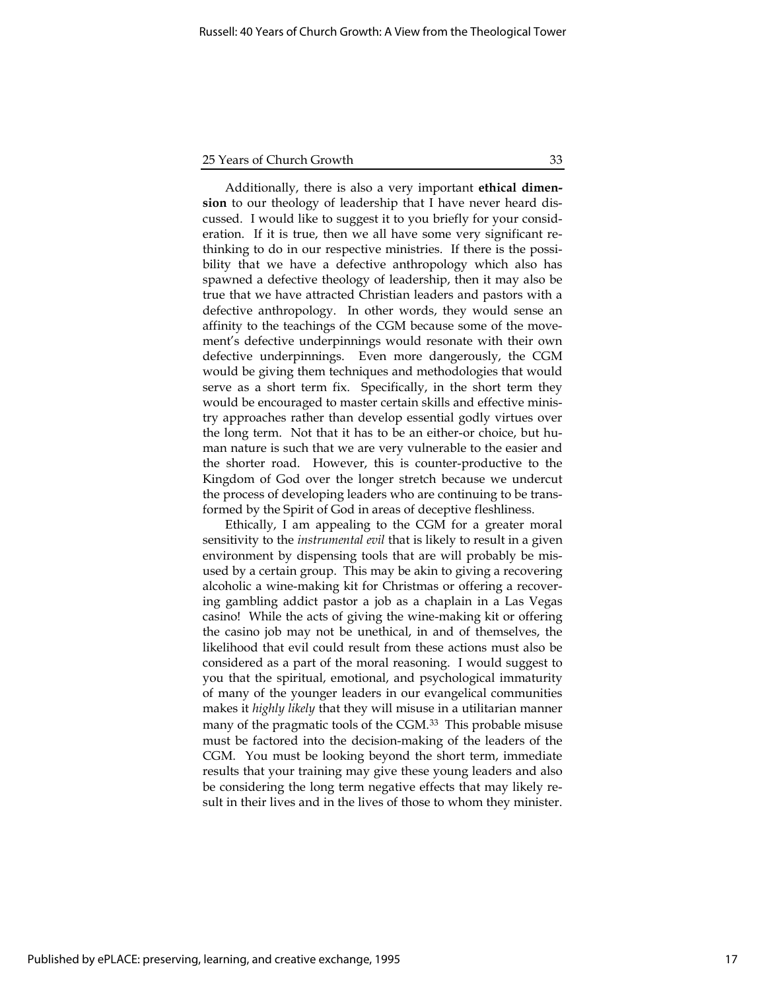Additionally, there is also a very important ethical dimension to our theology of leadership that I have never heard discussed. I would like to suggest it to you briefly for your consideration. If it is true, then we all have some very significant rethinking to do in our respective ministries. If there is the possibility that we have a defective anthropology which also has spawned a defective theology of leadership, then it may also be true that we have attracted Christian leaders and pastors with a defective anthropology. In other words, they would sense an affinity to the teachings of the CGM because some of the movement's defective underpinnings would resonate with their own defective underpinnings. Even more dangerously, the CGM would be giving them techniques and methodologies that would serve as a short term fix. Specifically, in the short term they would be encouraged to master certain skills and effective ministry approaches rather than develop essential godly virtues over the long term. Not that it has to be an either-or choice, but human nature is such that we are very vulnerable to the easier and the shorter road. However, this is counter-productive to the Kingdom of God over the longer stretch because we undercut the process of developing leaders who are continuing to be transformed by the Spirit of God in areas of deceptive fleshliness.

Ethically, I am appealing to the CGM for a greater moral sensitivity to the *instrumental evil* that is likely to result in a given environment by dispensing tools that are will probably be misused by a certain group. This may be akin to giving a recovering alcoholic a wine-making kit for Christmas or offering a recovering gambling addict pastor a job as a chaplain in a Las Vegas casino! While the acts of giving the wine-making kit or offering the casino job may not be unethical, in and of themselves, the likelihood that evil could result from these actions must also be considered as a part of the moral reasoning. I would suggest to you that the spiritual, emotional, and psychological immaturity of many of the younger leaders in our evangelical communities makes it highly likely that they will misuse in a utilitarian manner many of the pragmatic tools of the CGM.<sup>33</sup> This probable misuse must be factored into the decision-making of the leaders of the CGM. You must be looking beyond the short term, immediate results that your training may give these young leaders and also be considering the long term negative effects that may likely result in their lives and in the lives of those to whom they minister.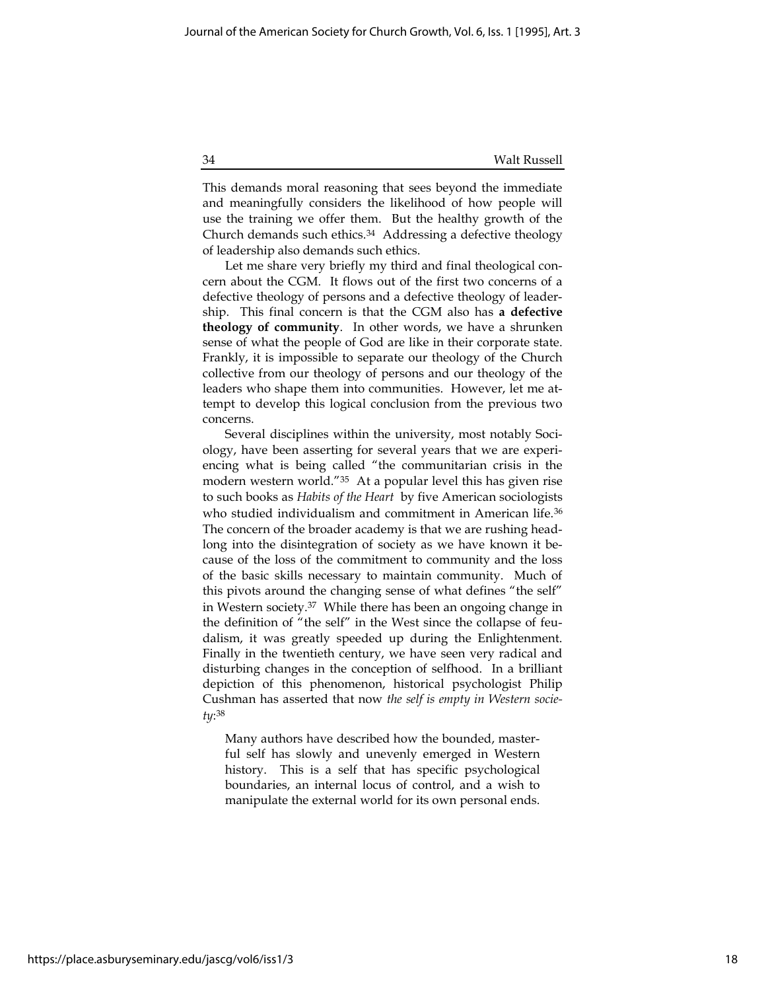This demands moral reasoning that sees beyond the immediate and meaningfully considers the likelihood of how people will use the training we offer them. But the healthy growth of the Church demands such ethics.<sup>34</sup> Addressing a defective theology of leadership also demands such ethics.

Let me share very briefly my third and final theological concern about the CGM. It flows out of the first two concerns of a defective theology of persons and a defective theology of leadership. This final concern is that the CGM also has a defective theology of community. In other words, we have a shrunken sense of what the people of God are like in their corporate state. Frankly, it is impossible to separate our theology of the Church collective from our theology of persons and our theology of the leaders who shape them into communities. However, let me attempt to develop this logical conclusion from the previous two concerns.

Several disciplines within the university, most notably Sociology, have been asserting for several years that we are experiencing what is being called "the communitarian crisis in the modern western world."<sup>35</sup> At a popular level this has given rise to such books as Habits of the Heart by five American sociologists who studied individualism and commitment in American life.<sup>36</sup> The concern of the broader academy is that we are rushing headlong into the disintegration of society as we have known it because of the loss of the commitment to community and the loss of the basic skills necessary to maintain community. Much of this pivots around the changing sense of what defines "the self" in Western society.<sup>37</sup> While there has been an ongoing change in the definition of "the self" in the West since the collapse of feudalism, it was greatly speeded up during the Enlightenment. Finally in the twentieth century, we have seen very radical and disturbing changes in the conception of selfhood. In a brilliant depiction of this phenomenon, historical psychologist Philip Cushman has asserted that now the self is empty in Western society: 38

Many authors have described how the bounded, masterful self has slowly and unevenly emerged in Western history. This is a self that has specific psychological boundaries, an internal locus of control, and a wish to manipulate the external world for its own personal ends.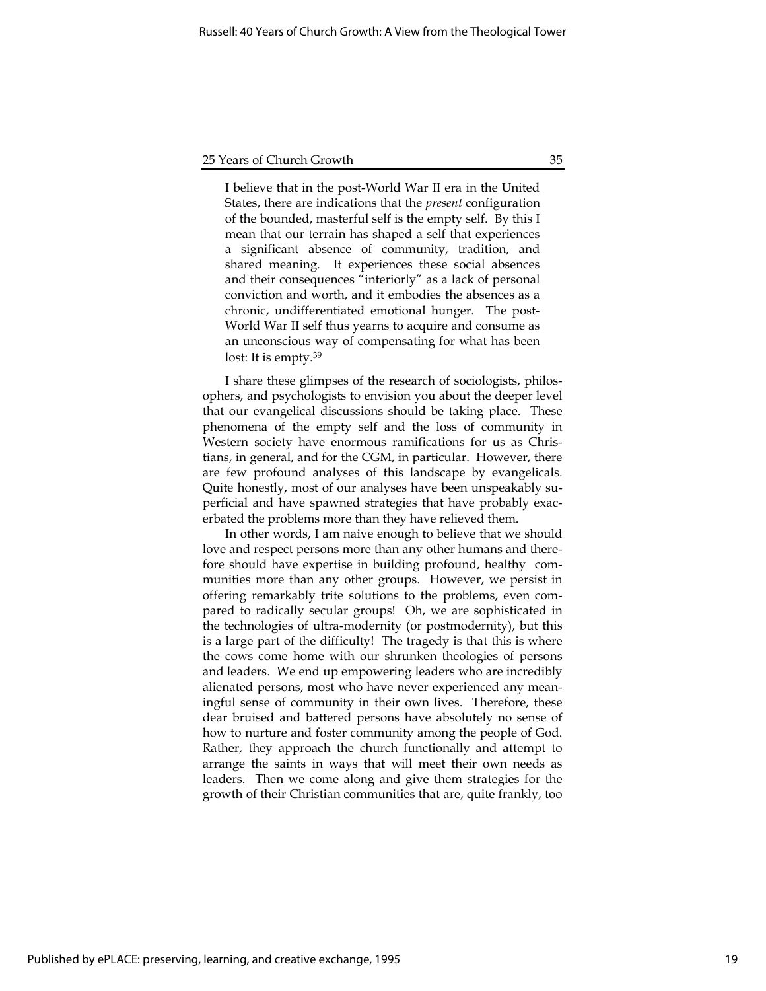I believe that in the post-World War II era in the United States, there are indications that the present configuration of the bounded, masterful self is the empty self. By this I mean that our terrain has shaped a self that experiences a significant absence of community, tradition, and shared meaning. It experiences these social absences and their consequences "interiorly" as a lack of personal conviction and worth, and it embodies the absences as a chronic, undifferentiated emotional hunger. The post-World War II self thus yearns to acquire and consume as an unconscious way of compensating for what has been lost: It is empty.<sup>39</sup>

I share these glimpses of the research of sociologists, philosophers, and psychologists to envision you about the deeper level that our evangelical discussions should be taking place. These phenomena of the empty self and the loss of community in Western society have enormous ramifications for us as Christians, in general, and for the CGM, in particular. However, there are few profound analyses of this landscape by evangelicals. Quite honestly, most of our analyses have been unspeakably superficial and have spawned strategies that have probably exacerbated the problems more than they have relieved them.

In other words, I am naive enough to believe that we should love and respect persons more than any other humans and therefore should have expertise in building profound, healthy communities more than any other groups. However, we persist in offering remarkably trite solutions to the problems, even compared to radically secular groups! Oh, we are sophisticated in the technologies of ultra-modernity (or postmodernity), but this is a large part of the difficulty! The tragedy is that this is where the cows come home with our shrunken theologies of persons and leaders. We end up empowering leaders who are incredibly alienated persons, most who have never experienced any meaningful sense of community in their own lives. Therefore, these dear bruised and battered persons have absolutely no sense of how to nurture and foster community among the people of God. Rather, they approach the church functionally and attempt to arrange the saints in ways that will meet their own needs as leaders. Then we come along and give them strategies for the growth of their Christian communities that are, quite frankly, too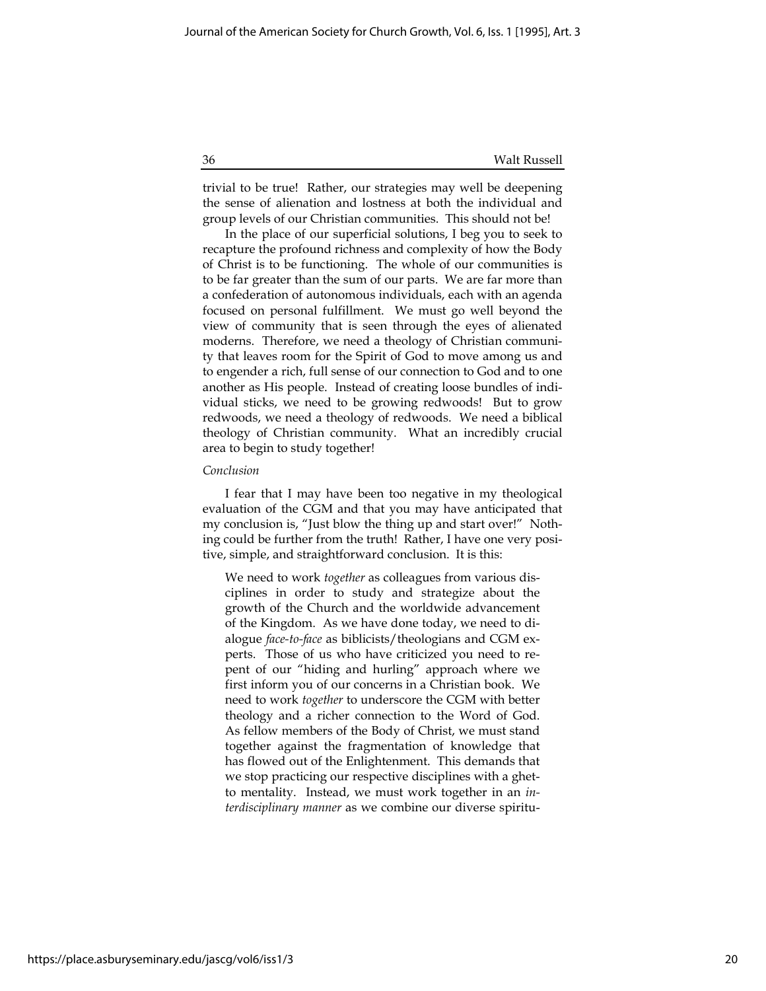trivial to be true! Rather, our strategies may well be deepening the sense of alienation and lostness at both the individual and group levels of our Christian communities. This should not be!

In the place of our superficial solutions, I beg you to seek to recapture the profound richness and complexity of how the Body of Christ is to be functioning. The whole of our communities is to be far greater than the sum of our parts. We are far more than a confederation of autonomous individuals, each with an agenda focused on personal fulfillment. We must go well beyond the view of community that is seen through the eyes of alienated moderns. Therefore, we need a theology of Christian community that leaves room for the Spirit of God to move among us and to engender a rich, full sense of our connection to God and to one another as His people. Instead of creating loose bundles of individual sticks, we need to be growing redwoods! But to grow redwoods, we need a theology of redwoods. We need a biblical theology of Christian community. What an incredibly crucial area to begin to study together!

#### Conclusion

I fear that I may have been too negative in my theological evaluation of the CGM and that you may have anticipated that my conclusion is, "Just blow the thing up and start over!" Nothing could be further from the truth! Rather, I have one very positive, simple, and straightforward conclusion. It is this:

We need to work together as colleagues from various disciplines in order to study and strategize about the growth of the Church and the worldwide advancement of the Kingdom. As we have done today, we need to dialogue face-to-face as biblicists/theologians and CGM experts. Those of us who have criticized you need to repent of our "hiding and hurling" approach where we first inform you of our concerns in a Christian book. We need to work together to underscore the CGM with better theology and a richer connection to the Word of God. As fellow members of the Body of Christ, we must stand together against the fragmentation of knowledge that has flowed out of the Enlightenment. This demands that we stop practicing our respective disciplines with a ghetto mentality. Instead, we must work together in an interdisciplinary manner as we combine our diverse spiritu-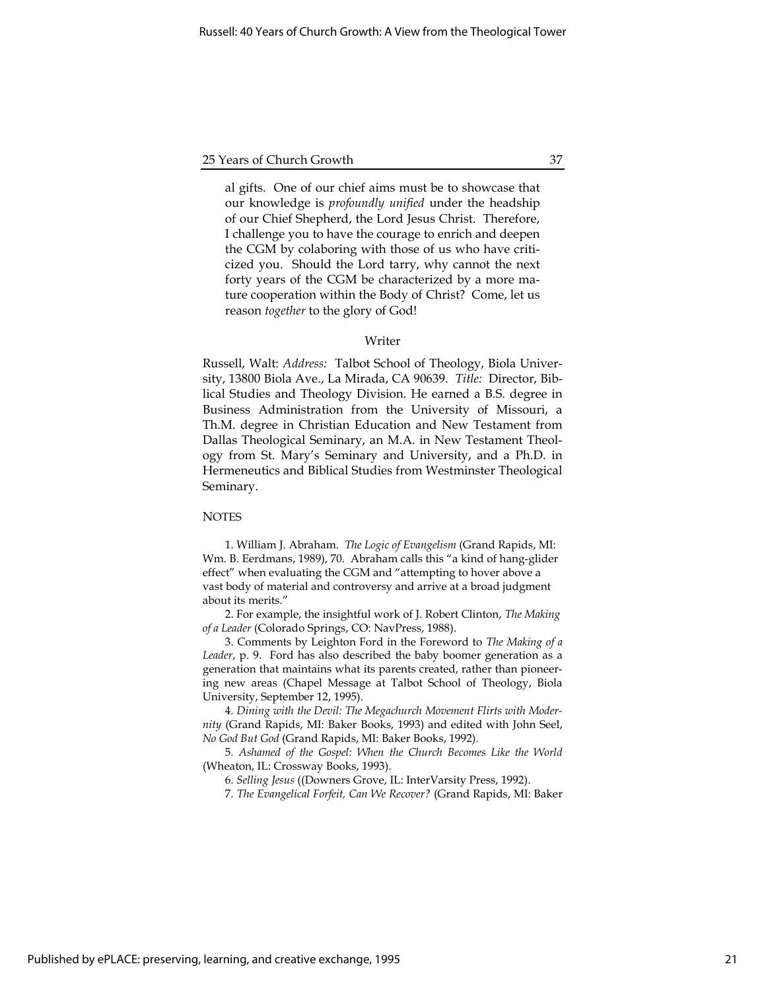al gifts. One of our chief aims must be to showcase that our knowledge is profoundly unified under the headship of our Chief Shepherd, the Lord Jesus Christ. Therefore, I challenge you to have the courage to enrich and deepen the CGM by colaboring with those of us who have criticized you. Should the Lord tarry, why cannot the next forty years of the CGM be characterized by a more mature cooperation within the Body of Christ? Come, let us reason together to the glory of God!

#### Writer

Russell, Walt: Address: Talbot School of Theology, Biola University, 13800 Biola Ave., La Mirada, CA 90639. Title: Director, Biblical Studies and Theology Division. He earned a B.S. degree in Business Administration from the University of Missouri, a Th.M. degree in Christian Education and New Testament from Dallas Theological Seminary, an M.A. in New Testament Theology from St. Mary's Seminary and University, and a Ph.D. in Hermeneutics and Biblical Studies from Westminster Theological Seminary.

#### **NOTES**

1. William J. Abraham. The Logic of Evangelism (Grand Rapids, MI: Wm. B. Eerdmans, 1989), 70. Abraham calls this "a kind of hang-glider effect" when evaluating the CGM and "attempting to hover above a vast body of material and controversy and arrive at a broad judgment about its merits."

2. For example, the insightful work of J. Robert Clinton, The Making of a Leader (Colorado Springs, CO: NavPress, 1988).

3. Comments by Leighton Ford in the Foreword to The Making of a Leader, p. 9. Ford has also described the baby boomer generation as a generation that maintains what its parents created, rather than pioneering new areas (Chapel Message at Talbot School of Theology, Biola University, September 12, 1995).

4. Dining with the Devil: The Megachurch Movement Flirts with Modernity (Grand Rapids, MI: Baker Books, 1993) and edited with John Seel, No God But God (Grand Rapids, MI: Baker Books, 1992).

5. Ashamed of the Gospel: When the Church Becomes Like the World (Wheaton, IL: Crossway Books, 1993).

6. Selling Jesus ((Downers Grove, IL: InterVarsity Press, 1992).

7. The Evangelical Forfeit, Can We Recover? (Grand Rapids, MI: Baker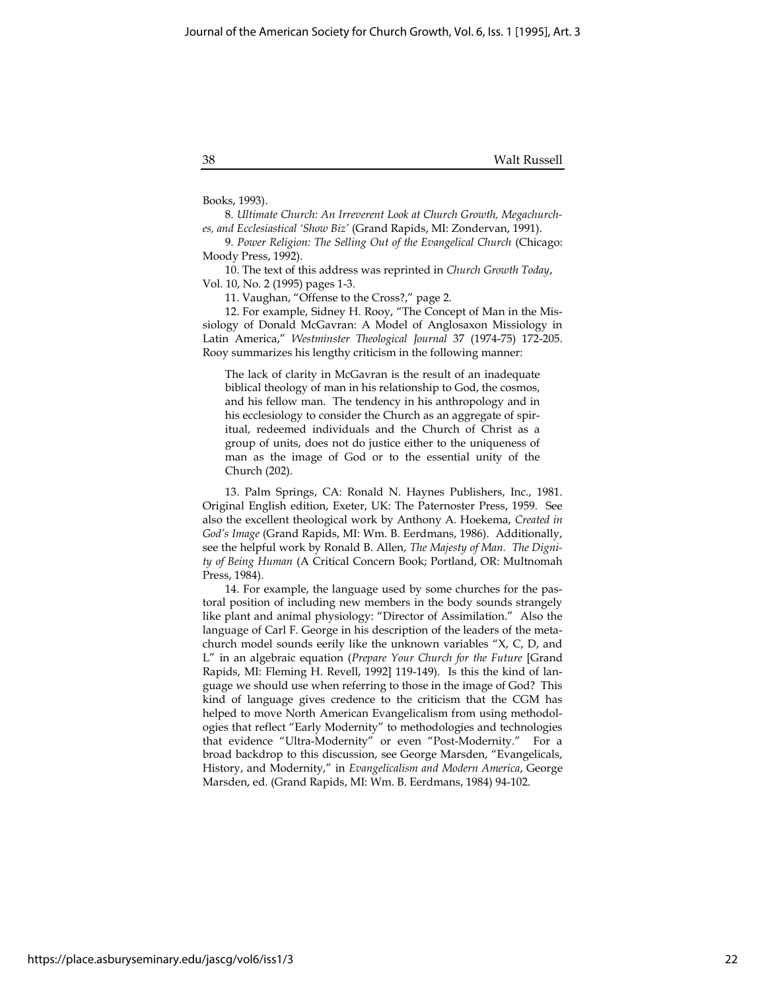Books, 1993).

8. Ultimate Church: An Irreverent Look at Church Growth, Megachurches, and Ecclesiastical 'Show Biz' (Grand Rapids, MI: Zondervan, 1991).

9. Power Religion: The Selling Out of the Evangelical Church (Chicago: Moody Press, 1992).

10. The text of this address was reprinted in Church Growth Today, Vol. 10, No. 2 (1995) pages 1-3.

11. Vaughan, "Offense to the Cross?," page 2.

12. For example, Sidney H. Rooy, "The Concept of Man in the Missiology of Donald McGavran: A Model of Anglosaxon Missiology in Latin America," Westminster Theological Journal 37 (1974-75) 172-205. Rooy summarizes his lengthy criticism in the following manner:

The lack of clarity in McGavran is the result of an inadequate biblical theology of man in his relationship to God, the cosmos, and his fellow man. The tendency in his anthropology and in his ecclesiology to consider the Church as an aggregate of spiritual, redeemed individuals and the Church of Christ as a group of units, does not do justice either to the uniqueness of man as the image of God or to the essential unity of the Church (202).

13. Palm Springs, CA: Ronald N. Haynes Publishers, Inc., 1981. Original English edition, Exeter, UK: The Paternoster Press, 1959. See also the excellent theological work by Anthony A. Hoekema, Created in God's Image (Grand Rapids, MI: Wm. B. Eerdmans, 1986). Additionally, see the helpful work by Ronald B. Allen, The Majesty of Man. The Dignity of Being Human (A Critical Concern Book; Portland, OR: Multnomah Press, 1984).

14. For example, the language used by some churches for the pastoral position of including new members in the body sounds strangely like plant and animal physiology: "Director of Assimilation." Also the language of Carl F. George in his description of the leaders of the metachurch model sounds eerily like the unknown variables "X, C, D, and L" in an algebraic equation (Prepare Your Church for the Future [Grand Rapids, MI: Fleming H. Revell, 1992] 119-149). Is this the kind of language we should use when referring to those in the image of God? This kind of language gives credence to the criticism that the CGM has helped to move North American Evangelicalism from using methodologies that reflect "Early Modernity" to methodologies and technologies that evidence "Ultra-Modernity" or even "Post-Modernity." For a broad backdrop to this discussion, see George Marsden, "Evangelicals, History, and Modernity," in Evangelicalism and Modern America, George Marsden, ed. (Grand Rapids, MI: Wm. B. Eerdmans, 1984) 94-102.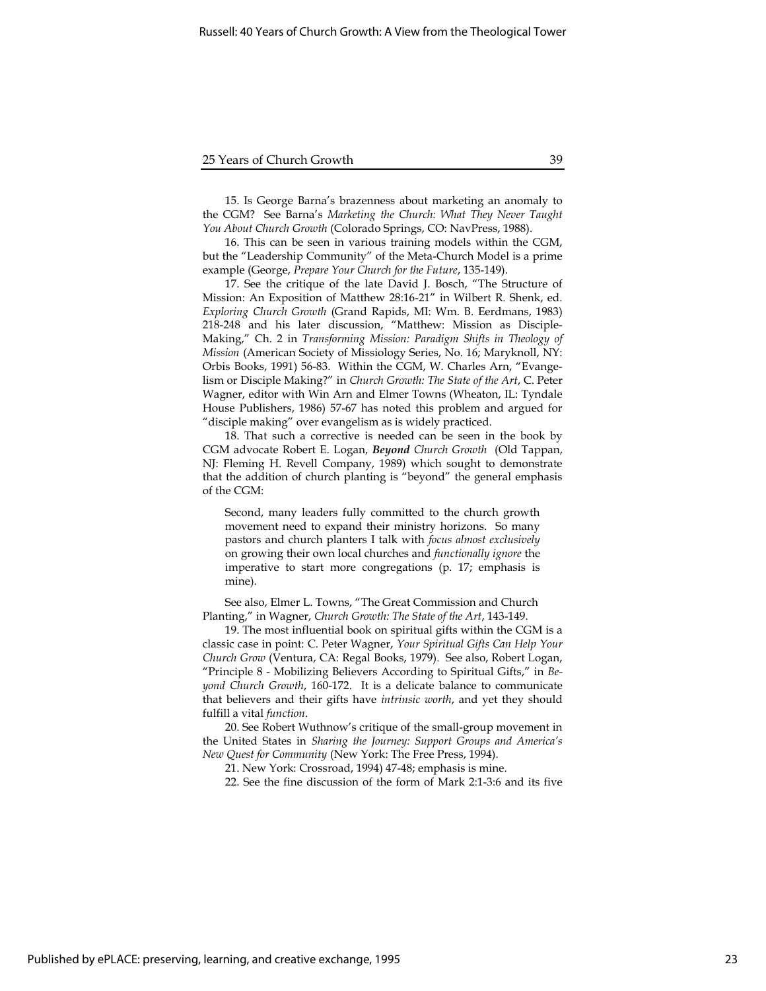15. Is George Barna's brazenness about marketing an anomaly to the CGM? See Barna's Marketing the Church: What They Never Taught You About Church Growth (Colorado Springs, CO: NavPress, 1988).

16. This can be seen in various training models within the CGM, but the "Leadership Community" of the Meta-Church Model is a prime example (George, Prepare Your Church for the Future, 135-149).

17. See the critique of the late David J. Bosch, "The Structure of Mission: An Exposition of Matthew 28:16-21" in Wilbert R. Shenk, ed. Exploring Church Growth (Grand Rapids, MI: Wm. B. Eerdmans, 1983) 218-248 and his later discussion, "Matthew: Mission as Disciple-Making," Ch. 2 in Transforming Mission: Paradigm Shifts in Theology of Mission (American Society of Missiology Series, No. 16; Maryknoll, NY: Orbis Books, 1991) 56-83. Within the CGM, W. Charles Arn, "Evangelism or Disciple Making?" in Church Growth: The State of the Art, C. Peter Wagner, editor with Win Arn and Elmer Towns (Wheaton, IL: Tyndale House Publishers, 1986) 57-67 has noted this problem and argued for "disciple making" over evangelism as is widely practiced.

18. That such a corrective is needed can be seen in the book by CGM advocate Robert E. Logan, Beyond Church Growth (Old Tappan, NJ: Fleming H. Revell Company, 1989) which sought to demonstrate that the addition of church planting is "beyond" the general emphasis of the CGM:

Second, many leaders fully committed to the church growth movement need to expand their ministry horizons. So many pastors and church planters I talk with focus almost exclusively on growing their own local churches and functionally ignore the imperative to start more congregations (p. 17; emphasis is mine).

See also, Elmer L. Towns, "The Great Commission and Church Planting," in Wagner, Church Growth: The State of the Art, 143-149.

19. The most influential book on spiritual gifts within the CGM is a classic case in point: C. Peter Wagner, Your Spiritual Gifts Can Help Your Church Grow (Ventura, CA: Regal Books, 1979). See also, Robert Logan, "Principle 8 - Mobilizing Believers According to Spiritual Gifts," in Beyond Church Growth, 160-172. It is a delicate balance to communicate that believers and their gifts have intrinsic worth, and yet they should fulfill a vital function.

20. See Robert Wuthnow's critique of the small-group movement in the United States in Sharing the Journey: Support Groups and America's New Quest for Community (New York: The Free Press, 1994).

21. New York: Crossroad, 1994) 47-48; emphasis is mine.

22. See the fine discussion of the form of Mark 2:1-3:6 and its five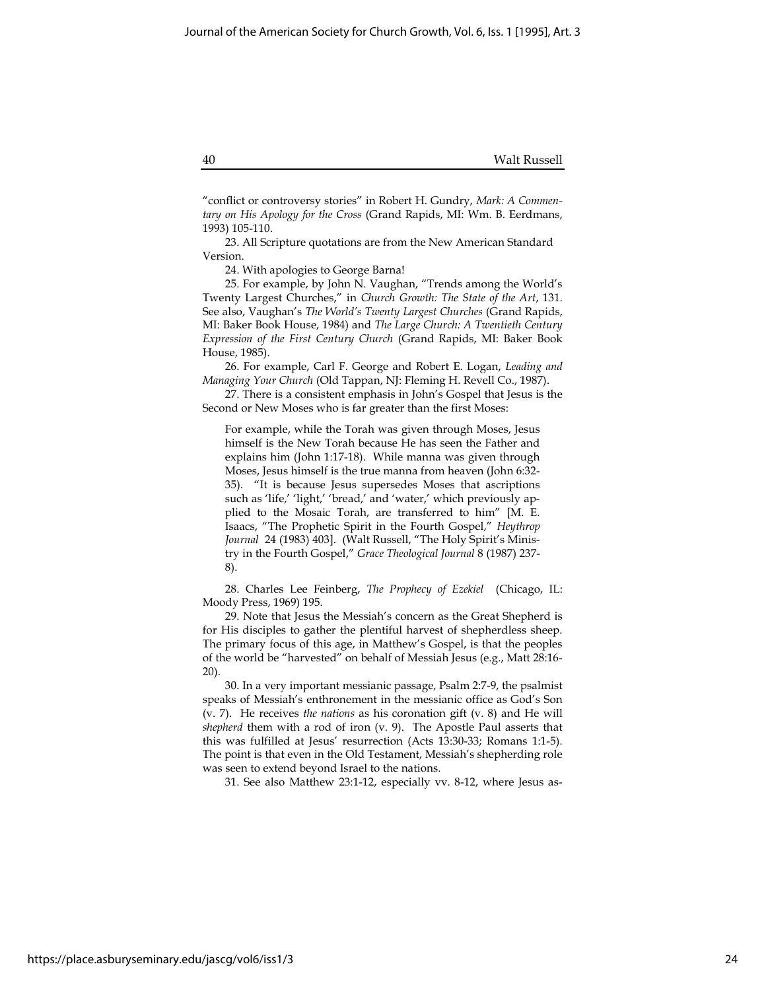"conflict or controversy stories" in Robert H. Gundry, Mark: A Commentary on His Apology for the Cross (Grand Rapids, MI: Wm. B. Eerdmans, 1993) 105-110.

23. All Scripture quotations are from the New American Standard Version.

24. With apologies to George Barna!

25. For example, by John N. Vaughan, "Trends among the World's Twenty Largest Churches," in Church Growth: The State of the Art, 131. See also, Vaughan's The World's Twenty Largest Churches (Grand Rapids, MI: Baker Book House, 1984) and The Large Church: A Twentieth Century Expression of the First Century Church (Grand Rapids, MI: Baker Book House, 1985).

26. For example, Carl F. George and Robert E. Logan, Leading and Managing Your Church (Old Tappan, NJ: Fleming H. Revell Co., 1987).

27. There is a consistent emphasis in John's Gospel that Jesus is the Second or New Moses who is far greater than the first Moses:

For example, while the Torah was given through Moses, Jesus himself is the New Torah because He has seen the Father and explains him (John 1:17-18). While manna was given through Moses, Jesus himself is the true manna from heaven (John 6:32- 35). "It is because Jesus supersedes Moses that ascriptions such as 'life,' 'light,' 'bread,' and 'water,' which previously applied to the Mosaic Torah, are transferred to him" [M. E. Isaacs, "The Prophetic Spirit in the Fourth Gospel," Heythrop Journal 24 (1983) 403]. (Walt Russell, "The Holy Spirit's Ministry in the Fourth Gospel," Grace Theological Journal 8 (1987) 237- 8).

28. Charles Lee Feinberg, The Prophecy of Ezekiel (Chicago, IL: Moody Press, 1969) 195.

29. Note that Jesus the Messiah's concern as the Great Shepherd is for His disciples to gather the plentiful harvest of shepherdless sheep. The primary focus of this age, in Matthew's Gospel, is that the peoples of the world be "harvested" on behalf of Messiah Jesus (e.g., Matt 28:16- 20).

30. In a very important messianic passage, Psalm 2:7-9, the psalmist speaks of Messiah's enthronement in the messianic office as God's Son (v. 7). He receives the nations as his coronation gift (v. 8) and He will shepherd them with a rod of iron  $(v. 9)$ . The Apostle Paul asserts that this was fulfilled at Jesus' resurrection (Acts 13:30-33; Romans 1:1-5). The point is that even in the Old Testament, Messiah's shepherding role was seen to extend beyond Israel to the nations.

31. See also Matthew 23:1-12, especially vv. 8-12, where Jesus as-